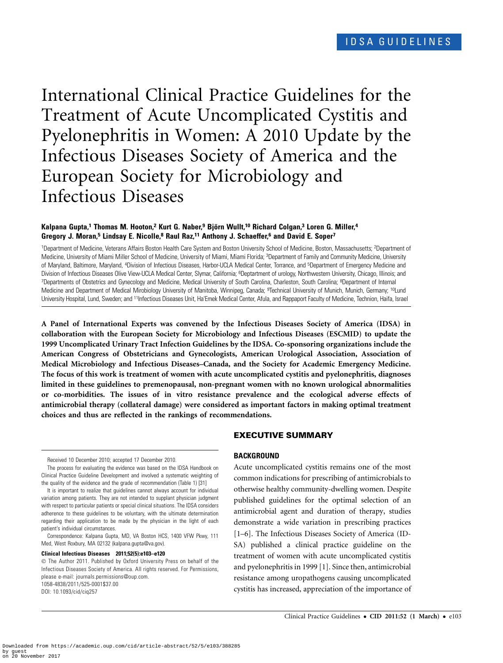International Clinical Practice Guidelines for the Treatment of Acute Uncomplicated Cystitis and Pyelonephritis in Women: A 2010 Update by the Infectious Diseases Society of America and the European Society for Microbiology and Infectious Diseases

### Kalpana Gupta,<sup>1</sup> Thomas M. Hooton,<sup>2</sup> Kurt G. Naber,<sup>9</sup> Björn Wullt,<sup>10</sup> Richard Colgan,<sup>3</sup> Loren G. Miller,<sup>4</sup> Gregory J. Moran,<sup>5</sup> Lindsay E. Nicolle,<sup>8</sup> Raul Raz,<sup>11</sup> Anthony J. Schaeffer,<sup>6</sup> and David E. Soper<sup>7</sup>

<sup>1</sup>Department of Medicine, Veterans Affairs Boston Health Care System and Boston University School of Medicine, Boston, Massachusetts; <sup>2</sup>Department of Medicine, University of Miami Miller School of Medicine, University of Miami, Miami Florida; <sup>3</sup>Department of Family and Community Medicine, University of Maryland, Baltimore, Maryland, <sup>4</sup>Division of Infectious Diseases, Harbor-UCLA Medical Center, Torrance, and <sup>5</sup>Department of Emergency Medicine and Division of Infectious Diseases Olive View-UCLA Medical Center, Slymar, California; <sup>6</sup>Deptartment of urology, Northwestern University, Chicago, Illinois; and 7Departments of Obstetrics and Gynecology and Medicine, Medical University of South Carolina, Charleston, South Carolina; <sup>8</sup>Department of Internal Medicine and Department of Medical Mirobiology University of Manitoba, Winnipeg, Canada; <sup>9</sup>Technical University of Munich, Munich, Germany; <sup>10</sup>Lund University Hospital, Lund, Sweden; and 11Infectious Diseases Unit, Ha'Emek Medical Center, Afula, and Rappaport Faculty of Medicine, Technion, Haifa, Israel

A Panel of International Experts was convened by the Infectious Diseases Society of America (IDSA) in collaboration with the European Society for Microbiology and Infectious Diseases (ESCMID) to update the 1999 Uncomplicated Urinary Tract Infection Guidelines by the IDSA. Co-sponsoring organizations include the American Congress of Obstetricians and Gynecologists, American Urological Association, Association of Medical Microbiology and Infectious Diseases–Canada, and the Society for Academic Emergency Medicine. The focus of this work is treatment of women with acute uncomplicated cystitis and pyelonephritis, diagnoses limited in these guidelines to premenopausal, non-pregnant women with no known urological abnormalities or co-morbidities. The issues of in vitro resistance prevalence and the ecological adverse effects of antimicrobial therapy (collateral damage) were considered as important factors in making optimal treatment choices and thus are reflected in the rankings of recommendations.

Received 10 December 2010; accepted 17 December 2010.

The process for evaluating the evidence was based on the IDSA Handbook on Clinical Practice Guideline Development and involved a systematic weighting of the quality of the evidence and the grade of recommendation (Table 1) [31]

It is important to realize that guidelines cannot always account for individual variation among patients. They are not intended to supplant physician judgment with respect to particular patients or special clinical situations. The IDSA considers adherence to these guidelines to be voluntary, with the ultimate determination regarding their application to be made by the physician in the light of each patient's individual circumstances.

Correspondence: Kalpana Gupta, MD, VA Boston HCS, 1400 VFW Pkwy, 111 Med, West Roxbury, MA 02132 (kalpana.gupta@va.gov).

Clinical Infectious Diseases 2011;52(5):e103–e120

 The Author 2011. Published by Oxford University Press on behalf of the Infectious Diseases Society of America. All rights reserved. For Permissions, please e-mail: journals.permissions@oup.com. 1058-4838/2011/525-0001\$37.00 DOI: 10.1093/cid/ciq257

#### EXECUTIVE SUMMARY

#### **BACKGROUND**

Acute uncomplicated cystitis remains one of the most common indications for prescribing of antimicrobials to otherwise healthy community-dwelling women. Despite published guidelines for the optimal selection of an antimicrobial agent and duration of therapy, studies demonstrate a wide variation in prescribing practices [1–6]. The Infectious Diseases Society of America (ID-SA) published a clinical practice guideline on the treatment of women with acute uncomplicated cystitis and pyelonephritis in 1999 [1]. Since then, antimicrobial resistance among uropathogens causing uncomplicated cystitis has increased, appreciation of the importance of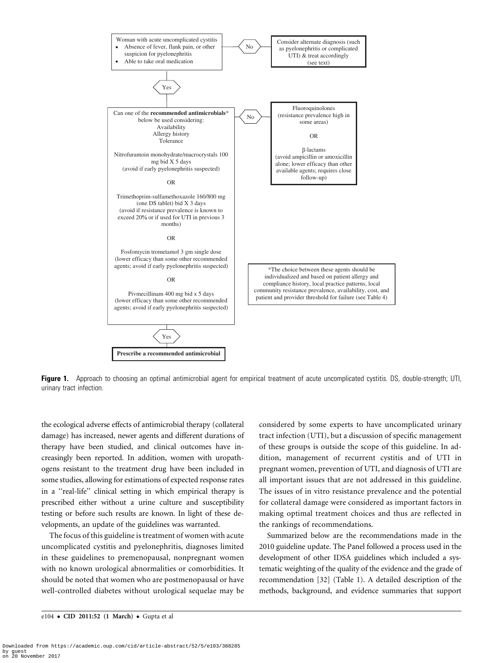

Figure 1. Approach to choosing an optimal antimicrobial agent for empirical treatment of acute uncomplicated cystitis. DS, double-strength; UTI, urinary tract infection.

the ecological adverse effects of antimicrobial therapy (collateral damage) has increased, newer agents and different durations of therapy have been studied, and clinical outcomes have increasingly been reported. In addition, women with uropathogens resistant to the treatment drug have been included in some studies, allowing for estimations of expected response rates in a ''real-life'' clinical setting in which empirical therapy is prescribed either without a urine culture and susceptibility testing or before such results are known. In light of these developments, an update of the guidelines was warranted.

The focus of this guideline is treatment of women with acute uncomplicated cystitis and pyelonephritis, diagnoses limited in these guidelines to premenopausal, nonpregnant women with no known urological abnormalities or comorbidities. It should be noted that women who are postmenopausal or have well-controlled diabetes without urological sequelae may be considered by some experts to have uncomplicated urinary tract infection (UTI), but a discussion of specific management of these groups is outside the scope of this guideline. In addition, management of recurrent cystitis and of UTI in pregnant women, prevention of UTI, and diagnosis of UTI are all important issues that are not addressed in this guideline. The issues of in vitro resistance prevalence and the potential for collateral damage were considered as important factors in making optimal treatment choices and thus are reflected in the rankings of recommendations.

Summarized below are the recommendations made in the 2010 guideline update. The Panel followed a process used in the development of other IDSA guidelines which included a systematic weighting of the quality of the evidence and the grade of recommendation [32] (Table 1). A detailed description of the methods, background, and evidence summaries that support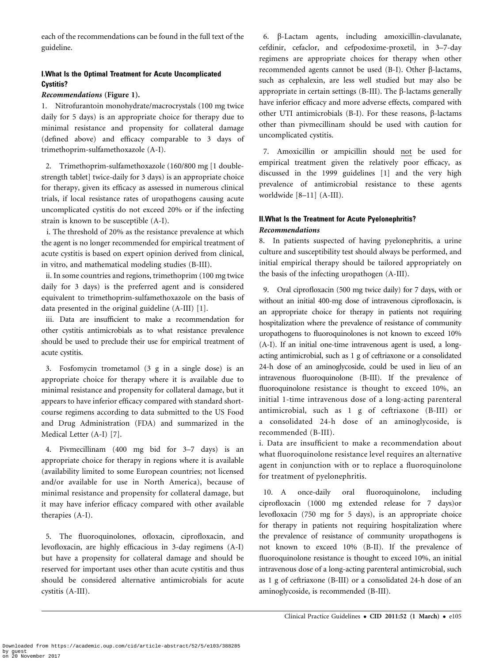each of the recommendations can be found in the full text of the guideline.

## I.What Is the Optimal Treatment for Acute Uncomplicated Cystitis?

### Recommendations (Figure 1).

1. Nitrofurantoin monohydrate/macrocrystals (100 mg twice daily for 5 days) is an appropriate choice for therapy due to minimal resistance and propensity for collateral damage (defined above) and efficacy comparable to 3 days of trimethoprim-sulfamethoxazole (A-I).

2. Trimethoprim-sulfamethoxazole (160/800 mg [1 doublestrength tablet] twice-daily for 3 days) is an appropriate choice for therapy, given its efficacy as assessed in numerous clinical trials, if local resistance rates of uropathogens causing acute uncomplicated cystitis do not exceed 20% or if the infecting strain is known to be susceptible (A-I).

i. The threshold of 20% as the resistance prevalence at which the agent is no longer recommended for empirical treatment of acute cystitis is based on expert opinion derived from clinical, in vitro, and mathematical modeling studies (B-III).

ii. In some countries and regions, trimethoprim (100 mg twice daily for 3 days) is the preferred agent and is considered equivalent to trimethoprim-sulfamethoxazole on the basis of data presented in the original guideline (A-III) [1].

iii. Data are insufficient to make a recommendation for other cystitis antimicrobials as to what resistance prevalence should be used to preclude their use for empirical treatment of acute cystitis.

3. Fosfomycin trometamol (3 g in a single dose) is an appropriate choice for therapy where it is available due to minimal resistance and propensity for collateral damage, but it appears to have inferior efficacy compared with standard shortcourse regimens according to data submitted to the US Food and Drug Administration (FDA) and summarized in the Medical Letter (A-I) [7].

4. Pivmecillinam (400 mg bid for 3–7 days) is an appropriate choice for therapy in regions where it is available (availability limited to some European countries; not licensed and/or available for use in North America), because of minimal resistance and propensity for collateral damage, but it may have inferior efficacy compared with other available therapies (A-I).

5. The fluoroquinolones, ofloxacin, ciprofloxacin, and levofloxacin, are highly efficacious in 3-day regimens (A-I) but have a propensity for collateral damage and should be reserved for important uses other than acute cystitis and thus should be considered alternative antimicrobials for acute cystitis (A-III).

6. b-Lactam agents, including amoxicillin-clavulanate, cefdinir, cefaclor, and cefpodoxime-proxetil, in 3–7-day regimens are appropriate choices for therapy when other recommended agents cannot be used  $(B-I)$ . Other  $\beta$ -lactams, such as cephalexin, are less well studied but may also be appropriate in certain settings (B-III). The  $\beta$ -lactams generally have inferior efficacy and more adverse effects, compared with other UTI antimicrobials (B-I). For these reasons,  $\beta$ -lactams other than pivmecillinam should be used with caution for uncomplicated cystitis.

7. Amoxicillin or ampicillin should not be used for empirical treatment given the relatively poor efficacy, as discussed in the 1999 guidelines [1] and the very high prevalence of antimicrobial resistance to these agents worldwide [8–11] (A-III).

# II.What Is the Treatment for Acute Pyelonephritis? Recommendations

8. In patients suspected of having pyelonephritis, a urine culture and susceptibility test should always be performed, and initial empirical therapy should be tailored appropriately on the basis of the infecting uropathogen (A-III).

9. Oral ciprofloxacin (500 mg twice daily) for 7 days, with or without an initial 400-mg dose of intravenous ciprofloxacin, is an appropriate choice for therapy in patients not requiring hospitalization where the prevalence of resistance of community uropathogens to fluoroquinolones is not known to exceed 10% (A-I). If an initial one-time intravenous agent is used, a longacting antimicrobial, such as 1 g of ceftriaxone or a consolidated 24-h dose of an aminoglycoside, could be used in lieu of an intravenous fluoroquinolone (B-III). If the prevalence of fluoroquinolone resistance is thought to exceed 10%, an initial 1-time intravenous dose of a long-acting parenteral antimicrobial, such as 1 g of ceftriaxone (B-III) or a consolidated 24-h dose of an aminoglycoside, is recommended (B-III).

i. Data are insufficient to make a recommendation about what fluoroquinolone resistance level requires an alternative agent in conjunction with or to replace a fluoroquinolone for treatment of pyelonephritis.

10. A once-daily oral fluoroquinolone, including ciprofloxacin (1000 mg extended release for 7 days)or levofloxacin (750 mg for 5 days), is an appropriate choice for therapy in patients not requiring hospitalization where the prevalence of resistance of community uropathogens is not known to exceed 10% (B-II). If the prevalence of fluoroquinolone resistance is thought to exceed 10%, an initial intravenous dose of a long-acting parenteral antimicrobial, such as 1 g of ceftriaxone (B-III) or a consolidated 24-h dose of an aminoglycoside, is recommended (B-III).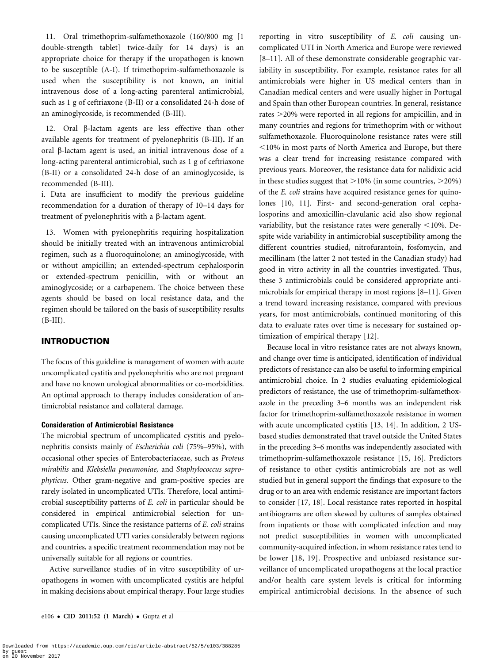11. Oral trimethoprim-sulfamethoxazole (160/800 mg [1 double-strength tablet] twice-daily for 14 days) is an appropriate choice for therapy if the uropathogen is known to be susceptible (A-I). If trimethoprim-sulfamethoxazole is used when the susceptibility is not known, an initial intravenous dose of a long-acting parenteral antimicrobial, such as 1 g of ceftriaxone (B-II) or a consolidated 24-h dose of an aminoglycoside, is recommended (B-III).

12. Oral  $\beta$ -lactam agents are less effective than other available agents for treatment of pyelonephritis (B-III). If an oral b-lactam agent is used, an initial intravenous dose of a long-acting parenteral antimicrobial, such as 1 g of ceftriaxone (B-II) or a consolidated 24-h dose of an aminoglycoside, is recommended (B-III).

i. Data are insufficient to modify the previous guideline recommendation for a duration of therapy of 10–14 days for treatment of pyelonephritis with a  $\beta$ -lactam agent.

13. Women with pyelonephritis requiring hospitalization should be initially treated with an intravenous antimicrobial regimen, such as a fluoroquinolone; an aminoglycoside, with or without ampicillin; an extended-spectrum cephalosporin or extended-spectrum penicillin, with or without an aminoglycoside; or a carbapenem. The choice between these agents should be based on local resistance data, and the regimen should be tailored on the basis of susceptibility results  $(B-III).$ 

## INTRODUCTION

The focus of this guideline is management of women with acute uncomplicated cystitis and pyelonephritis who are not pregnant and have no known urological abnormalities or co-morbidities. An optimal approach to therapy includes consideration of antimicrobial resistance and collateral damage.

## Consideration of Antimicrobial Resistance

The microbial spectrum of uncomplicated cystitis and pyelonephritis consists mainly of Escherichia coli (75%–95%), with occasional other species of Enterobacteriaceae, such as Proteus mirabilis and Klebsiella pneumoniae, and Staphylococcus saprophyticus. Other gram-negative and gram-positive species are rarely isolated in uncomplicated UTIs. Therefore, local antimicrobial susceptibility patterns of E. coli in particular should be considered in empirical antimicrobial selection for uncomplicated UTIs. Since the resistance patterns of E. coli strains causing uncomplicated UTI varies considerably between regions and countries, a specific treatment recommendation may not be universally suitable for all regions or countries.

Active surveillance studies of in vitro susceptibility of uropathogens in women with uncomplicated cystitis are helpful in making decisions about empirical therapy. Four large studies

reporting in vitro susceptibility of E. coli causing uncomplicated UTI in North America and Europe were reviewed [8–11]. All of these demonstrate considerable geographic variability in susceptibility. For example, resistance rates for all antimicrobials were higher in US medical centers than in Canadian medical centers and were usually higher in Portugal and Spain than other European countries. In general, resistance rates >20% were reported in all regions for ampicillin, and in many countries and regions for trimethoprim with or without sulfamethoxazole. Fluoroquinolone resistance rates were still  $<$ 10% in most parts of North America and Europe, but there was a clear trend for increasing resistance compared with previous years. Moreover, the resistance data for nalidixic acid in these studies suggest that  $>10\%$  (in some countries,  $>20\%$ ) of the E. coli strains have acquired resistance genes for quinolones [10, 11]. First- and second-generation oral cephalosporins and amoxicillin-clavulanic acid also show regional variability, but the resistance rates were generally  $\leq$ 10%. Despite wide variability in antimicrobial susceptibility among the different countries studied, nitrofurantoin, fosfomycin, and mecillinam (the latter 2 not tested in the Canadian study) had good in vitro activity in all the countries investigated. Thus, these 3 antimicrobials could be considered appropriate antimicrobials for empirical therapy in most regions [8–11]. Given a trend toward increasing resistance, compared with previous years, for most antimicrobials, continued monitoring of this data to evaluate rates over time is necessary for sustained optimization of empirical therapy [12].

Because local in vitro resistance rates are not always known, and change over time is anticipated, identification of individual predictors of resistance can also be useful to informing empirical antimicrobial choice. In 2 studies evaluating epidemiological predictors of resistance, the use of trimethoprim-sulfamethoxazole in the preceding 3–6 months was an independent risk factor for trimethoprim-sulfamethoxazole resistance in women with acute uncomplicated cystitis [13, 14]. In addition, 2 USbased studies demonstrated that travel outside the United States in the preceding 3–6 months was independently associated with trimethoprim-sulfamethoxazole resistance [15, 16]. Predictors of resistance to other cystitis antimicrobials are not as well studied but in general support the findings that exposure to the drug or to an area with endemic resistance are important factors to consider [17, 18]. Local resistance rates reported in hospital antibiograms are often skewed by cultures of samples obtained from inpatients or those with complicated infection and may not predict susceptibilities in women with uncomplicated community-acquired infection, in whom resistance rates tend to be lower [18, 19]. Prospective and unbiased resistance surveillance of uncomplicated uropathogens at the local practice and/or health care system levels is critical for informing empirical antimicrobial decisions. In the absence of such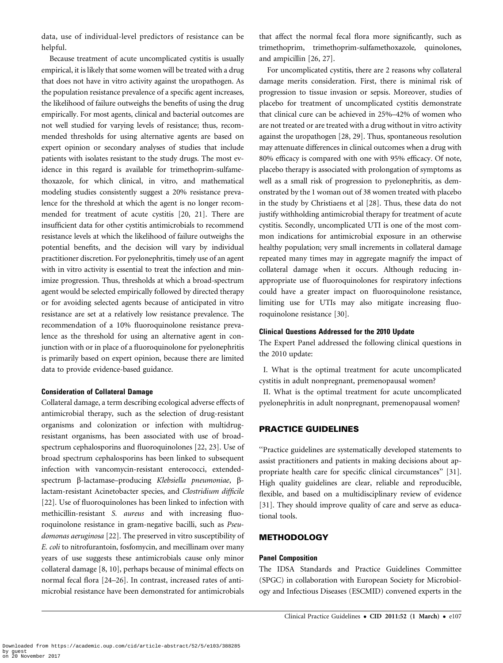data, use of individual-level predictors of resistance can be helpful.

Because treatment of acute uncomplicated cystitis is usually empirical, it is likely that some women will be treated with a drug that does not have in vitro activity against the uropathogen. As the population resistance prevalence of a specific agent increases, the likelihood of failure outweighs the benefits of using the drug empirically. For most agents, clinical and bacterial outcomes are not well studied for varying levels of resistance; thus, recommended thresholds for using alternative agents are based on expert opinion or secondary analyses of studies that include patients with isolates resistant to the study drugs. The most evidence in this regard is available for trimethoprim-sulfamethoxazole, for which clinical, in vitro, and mathematical modeling studies consistently suggest a 20% resistance prevalence for the threshold at which the agent is no longer recommended for treatment of acute cystitis [20, 21]. There are insufficient data for other cystitis antimicrobials to recommend resistance levels at which the likelihood of failure outweighs the potential benefits, and the decision will vary by individual practitioner discretion. For pyelonephritis, timely use of an agent with in vitro activity is essential to treat the infection and minimize progression. Thus, thresholds at which a broad-spectrum agent would be selected empirically followed by directed therapy or for avoiding selected agents because of anticipated in vitro resistance are set at a relatively low resistance prevalence. The recommendation of a 10% fluoroquinolone resistance prevalence as the threshold for using an alternative agent in conjunction with or in place of a fluoroquinolone for pyelonephritis is primarily based on expert opinion, because there are limited data to provide evidence-based guidance.

#### Consideration of Collateral Damage

Collateral damage, a term describing ecological adverse effects of antimicrobial therapy, such as the selection of drug-resistant organisms and colonization or infection with multidrugresistant organisms, has been associated with use of broadspectrum cephalosporins and fluoroquinolones [22, 23]. Use of broad spectrum cephalosporins has been linked to subsequent infection with vancomycin-resistant enterococci, extendedspectrum β-lactamase–producing Klebsiella pneumoniae, βlactam-resistant Acinetobacter species, and Clostridium difficile [22]. Use of fluoroquinolones has been linked to infection with methicillin-resistant S. aureus and with increasing fluoroquinolone resistance in gram-negative bacilli, such as Pseudomonas aeruginosa [22]. The preserved in vitro susceptibility of E. coli to nitrofurantoin, fosfomycin, and mecillinam over many years of use suggests these antimicrobials cause only minor collateral damage [8, 10], perhaps because of minimal effects on normal fecal flora [24–26]. In contrast, increased rates of antimicrobial resistance have been demonstrated for antimicrobials

that affect the normal fecal flora more significantly, such as trimethoprim, trimethoprim-sulfamethoxazole, quinolones, and ampicillin [26, 27].

For uncomplicated cystitis, there are 2 reasons why collateral damage merits consideration. First, there is minimal risk of progression to tissue invasion or sepsis. Moreover, studies of placebo for treatment of uncomplicated cystitis demonstrate that clinical cure can be achieved in 25%–42% of women who are not treated or are treated with a drug without in vitro activity against the uropathogen [28, 29]. Thus, spontaneous resolution may attenuate differences in clinical outcomes when a drug with 80% efficacy is compared with one with 95% efficacy. Of note, placebo therapy is associated with prolongation of symptoms as well as a small risk of progression to pyelonephritis, as demonstrated by the 1 woman out of 38 women treated with placebo in the study by Christiaens et al [28]. Thus, these data do not justify withholding antimicrobial therapy for treatment of acute cystitis. Secondly, uncomplicated UTI is one of the most common indications for antimicrobial exposure in an otherwise healthy population; very small increments in collateral damage repeated many times may in aggregate magnify the impact of collateral damage when it occurs. Although reducing inappropriate use of fluoroquinolones for respiratory infections could have a greater impact on fluoroquinolone resistance, limiting use for UTIs may also mitigate increasing fluoroquinolone resistance [30].

### Clinical Questions Addressed for the 2010 Update

The Expert Panel addressed the following clinical questions in the 2010 update:

I. What is the optimal treatment for acute uncomplicated cystitis in adult nonpregnant, premenopausal women?

II. What is the optimal treatment for acute uncomplicated pyelonephritis in adult nonpregnant, premenopausal women?

## PRACTICE GUIDELINES

''Practice guidelines are systematically developed statements to assist practitioners and patients in making decisions about appropriate health care for specific clinical circumstances'' [31]. High quality guidelines are clear, reliable and reproducible, flexible, and based on a multidisciplinary review of evidence [31]. They should improve quality of care and serve as educational tools.

#### **METHODOLOGY**

#### Panel Composition

The IDSA Standards and Practice Guidelines Committee (SPGC) in collaboration with European Society for Microbiology and Infectious Diseases (ESCMID) convened experts in the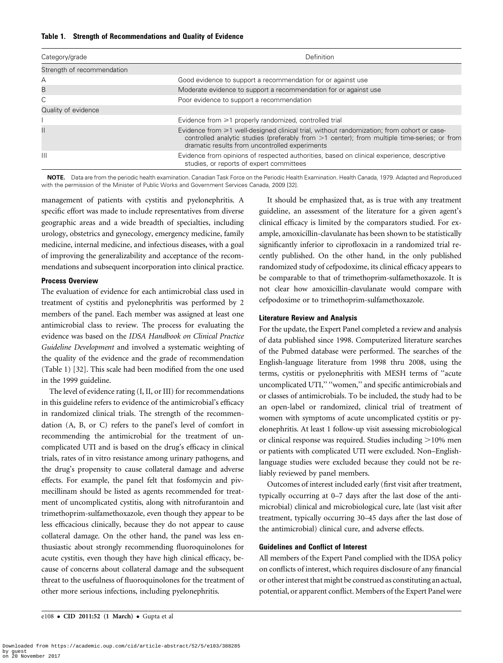#### Table 1. Strength of Recommendations and Quality of Evidence

| Category/grade             | Definition                                                                                                                                                                                                                                        |  |  |  |  |
|----------------------------|---------------------------------------------------------------------------------------------------------------------------------------------------------------------------------------------------------------------------------------------------|--|--|--|--|
| Strength of recommendation |                                                                                                                                                                                                                                                   |  |  |  |  |
| А                          | Good evidence to support a recommendation for or against use                                                                                                                                                                                      |  |  |  |  |
| B                          | Moderate evidence to support a recommendation for or against use                                                                                                                                                                                  |  |  |  |  |
| C                          | Poor evidence to support a recommendation                                                                                                                                                                                                         |  |  |  |  |
| Quality of evidence        |                                                                                                                                                                                                                                                   |  |  |  |  |
|                            | Evidence from $\geq 1$ properly randomized, controlled trial                                                                                                                                                                                      |  |  |  |  |
| $\mathbf{H}$               | Evidence from $\geq 1$ well-designed clinical trial, without randomization; from cohort or case-<br>controlled analytic studies (preferably from >1 center); from multiple time-series; or from<br>dramatic results from uncontrolled experiments |  |  |  |  |
| $\mathbf{III}$             | Evidence from opinions of respected authorities, based on clinical experience, descriptive<br>studies, or reports of expert committees                                                                                                            |  |  |  |  |

NOTE. Data are from the periodic health examination. Canadian Task Force on the Periodic Health Examination. Health Canada*,* 1979. Adapted and Reproduced with the permission of the Minister of Public Works and Government Services Canada, 2009 [32].

management of patients with cystitis and pyelonephritis. A specific effort was made to include representatives from diverse geographic areas and a wide breadth of specialties, including urology, obstetrics and gynecology, emergency medicine, family medicine, internal medicine, and infectious diseases, with a goal of improving the generalizability and acceptance of the recommendations and subsequent incorporation into clinical practice.

#### Process Overview

The evaluation of evidence for each antimicrobial class used in treatment of cystitis and pyelonephritis was performed by 2 members of the panel. Each member was assigned at least one antimicrobial class to review. The process for evaluating the evidence was based on the IDSA Handbook on Clinical Practice Guideline Development and involved a systematic weighting of the quality of the evidence and the grade of recommendation (Table 1) [32]. This scale had been modified from the one used in the 1999 guideline.

The level of evidence rating (I, II, or III) for recommendations in this guideline refers to evidence of the antimicrobial's efficacy in randomized clinical trials. The strength of the recommendation (A, B, or C) refers to the panel's level of comfort in recommending the antimicrobial for the treatment of uncomplicated UTI and is based on the drug's efficacy in clinical trials, rates of in vitro resistance among urinary pathogens, and the drug's propensity to cause collateral damage and adverse effects. For example, the panel felt that fosfomycin and pivmecillinam should be listed as agents recommended for treatment of uncomplicated cystitis, along with nitrofurantoin and trimethoprim-sulfamethoxazole, even though they appear to be less efficacious clinically, because they do not appear to cause collateral damage. On the other hand, the panel was less enthusiastic about strongly recommending fluoroquinolones for acute cystitis, even though they have high clinical efficacy, because of concerns about collateral damage and the subsequent threat to the usefulness of fluoroquinolones for the treatment of other more serious infections, including pyelonephritis.

It should be emphasized that, as is true with any treatment guideline, an assessment of the literature for a given agent's clinical efficacy is limited by the comparators studied. For example, amoxicillin-clavulanate has been shown to be statistically significantly inferior to ciprofloxacin in a randomized trial recently published. On the other hand, in the only published randomized study of cefpodoxime, its clinical efficacy appears to be comparable to that of trimethoprim-sulfamethoxazole. It is not clear how amoxicillin-clavulanate would compare with cefpodoxime or to trimethoprim-sulfamethoxazole.

#### Literature Review and Analysis

For the update, the Expert Panel completed a review and analysis of data published since 1998. Computerized literature searches of the Pubmed database were performed. The searches of the English-language literature from 1998 thru 2008, using the terms, cystitis or pyelonephritis with MESH terms of ''acute uncomplicated UTI,'' ''women,'' and specific antimicrobials and or classes of antimicrobials. To be included, the study had to be an open-label or randomized, clinical trial of treatment of women with symptoms of acute uncomplicated cystitis or pyelonephritis. At least 1 follow-up visit assessing microbiological or clinical response was required. Studies including  $>10\%$  men or patients with complicated UTI were excluded. Non–Englishlanguage studies were excluded because they could not be reliably reviewed by panel members.

Outcomes of interest included early (first visit after treatment, typically occurring at 0–7 days after the last dose of the antimicrobial) clinical and microbiological cure, late (last visit after treatment, typically occurring 30–45 days after the last dose of the antimicrobial) clinical cure, and adverse effects.

#### Guidelines and Conflict of Interest

All members of the Expert Panel complied with the IDSA policy on conflicts of interest, which requires disclosure of any financial or other interest that might be construed as constituting an actual, potential, or apparent conflict. Members of the Expert Panel were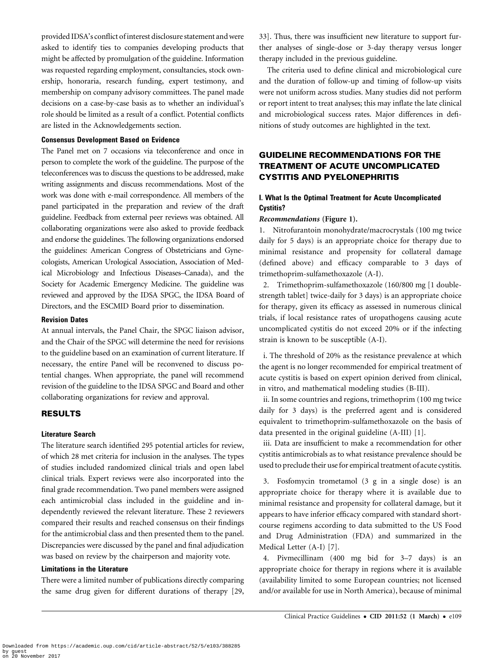provided IDSA's conflict of interest disclosure statement and were asked to identify ties to companies developing products that might be affected by promulgation of the guideline. Information was requested regarding employment, consultancies, stock ownership, honoraria, research funding, expert testimony, and membership on company advisory committees. The panel made decisions on a case-by-case basis as to whether an individual's role should be limited as a result of a conflict. Potential conflicts are listed in the Acknowledgements section.

### Consensus Development Based on Evidence

The Panel met on 7 occasions via teleconference and once in person to complete the work of the guideline. The purpose of the teleconferences was to discuss the questions to be addressed, make writing assignments and discuss recommendations. Most of the work was done with e-mail correspondence. All members of the panel participated in the preparation and review of the draft guideline. Feedback from external peer reviews was obtained. All collaborating organizations were also asked to provide feedback and endorse the guidelines. The following organizations endorsed the guidelines: American Congress of Obstetricians and Gynecologists, American Urological Association, Association of Medical Microbiology and Infectious Diseases–Canada), and the Society for Academic Emergency Medicine. The guideline was reviewed and approved by the IDSA SPGC, the IDSA Board of Directors, and the ESCMID Board prior to dissemination.

#### Revision Dates

At annual intervals, the Panel Chair, the SPGC liaison advisor, and the Chair of the SPGC will determine the need for revisions to the guideline based on an examination of current literature. If necessary, the entire Panel will be reconvened to discuss potential changes. When appropriate, the panel will recommend revision of the guideline to the IDSA SPGC and Board and other collaborating organizations for review and approval.

## RESULTS

## Literature Search

The literature search identified 295 potential articles for review, of which 28 met criteria for inclusion in the analyses. The types of studies included randomized clinical trials and open label clinical trials. Expert reviews were also incorporated into the final grade recommendation. Two panel members were assigned each antimicrobial class included in the guideline and independently reviewed the relevant literature. These 2 reviewers compared their results and reached consensus on their findings for the antimicrobial class and then presented them to the panel. Discrepancies were discussed by the panel and final adjudication was based on review by the chairperson and majority vote.

## Limitations in the Literature

There were a limited number of publications directly comparing the same drug given for different durations of therapy [29,

33]. Thus, there was insufficient new literature to support further analyses of single-dose or 3-day therapy versus longer therapy included in the previous guideline.

The criteria used to define clinical and microbiological cure and the duration of follow-up and timing of follow-up visits were not uniform across studies. Many studies did not perform or report intent to treat analyses; this may inflate the late clinical and microbiological success rates. Major differences in definitions of study outcomes are highlighted in the text.

## GUIDELINE RECOMMENDATIONS FOR THE TREATMENT OF ACUTE UNCOMPLICATED CYSTITIS AND PYELONEPHRITIS

## I. What Is the Optimal Treatment for Acute Uncomplicated Cystitis?

#### Recommendations (Figure 1).

1. Nitrofurantoin monohydrate/macrocrystals (100 mg twice daily for 5 days) is an appropriate choice for therapy due to minimal resistance and propensity for collateral damage (defined above) and efficacy comparable to 3 days of trimethoprim-sulfamethoxazole (A-I).

2. Trimethoprim-sulfamethoxazole (160/800 mg [1 doublestrength tablet] twice-daily for 3 days) is an appropriate choice for therapy, given its efficacy as assessed in numerous clinical trials, if local resistance rates of uropathogens causing acute uncomplicated cystitis do not exceed 20% or if the infecting strain is known to be susceptible (A-I).

i. The threshold of 20% as the resistance prevalence at which the agent is no longer recommended for empirical treatment of acute cystitis is based on expert opinion derived from clinical, in vitro, and mathematical modeling studies (B-III).

ii. In some countries and regions, trimethoprim (100 mg twice daily for 3 days) is the preferred agent and is considered equivalent to trimethoprim-sulfamethoxazole on the basis of data presented in the original guideline (A-III) [1].

iii. Data are insufficient to make a recommendation for other cystitis antimicrobials as to what resistance prevalence should be used to preclude their use for empirical treatment of acute cystitis.

3. Fosfomycin trometamol (3 g in a single dose) is an appropriate choice for therapy where it is available due to minimal resistance and propensity for collateral damage, but it appears to have inferior efficacy compared with standard shortcourse regimens according to data submitted to the US Food and Drug Administration (FDA) and summarized in the Medical Letter (A-I) [7].

4. Pivmecillinam (400 mg bid for 3–7 days) is an appropriate choice for therapy in regions where it is available (availability limited to some European countries; not licensed and/or available for use in North America), because of minimal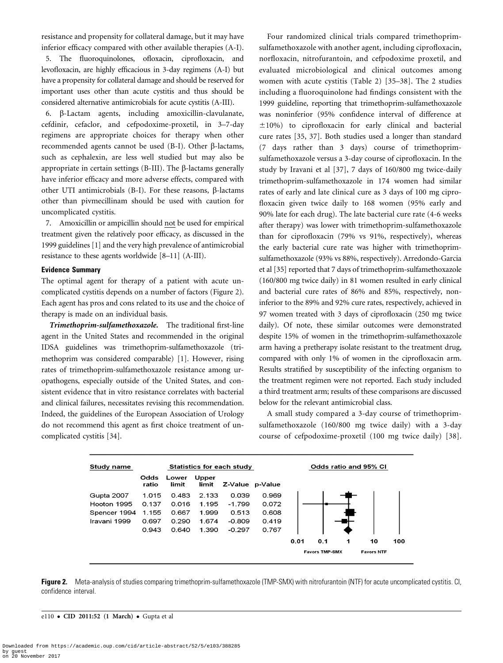resistance and propensity for collateral damage, but it may have inferior efficacy compared with other available therapies (A-I). 5. The fluoroquinolones, ofloxacin, ciprofloxacin, and levofloxacin, are highly efficacious in 3-day regimens (A-I) but have a propensity for collateral damage and should be reserved for important uses other than acute cystitis and thus should be considered alternative antimicrobials for acute cystitis (A-III).

6. b-Lactam agents, including amoxicillin-clavulanate, cefdinir, cefaclor, and cefpodoxime-proxetil, in 3–7-day regimens are appropriate choices for therapy when other recommended agents cannot be used (B-I). Other  $\beta$ -lactams, such as cephalexin, are less well studied but may also be appropriate in certain settings  $(B-III)$ . The  $\beta$ -lactams generally have inferior efficacy and more adverse effects, compared with other UTI antimicrobials (B-I). For these reasons,  $\beta$ -lactams other than pivmecillinam should be used with caution for uncomplicated cystitis.

7. Amoxicillin or ampicillin should not be used for empirical treatment given the relatively poor efficacy, as discussed in the 1999 guidelines [1] and the very high prevalence of antimicrobial resistance to these agents worldwide [8–11] (A-III).

#### Evidence Summary

The optimal agent for therapy of a patient with acute uncomplicated cystitis depends on a number of factors (Figure 2). Each agent has pros and cons related to its use and the choice of therapy is made on an individual basis.

Trimethoprim-sulfamethoxazole. The traditional first-line agent in the United States and recommended in the original IDSA guidelines was trimethoprim-sulfamethoxazole (trimethoprim was considered comparable) [1]. However, rising rates of trimethoprim-sulfamethoxazole resistance among uropathogens, especially outside of the United States, and consistent evidence that in vitro resistance correlates with bacterial and clinical failures, necessitates revising this recommendation. Indeed, the guidelines of the European Association of Urology do not recommend this agent as first choice treatment of uncomplicated cystitis [34].

Four randomized clinical trials compared trimethoprimsulfamethoxazole with another agent, including ciprofloxacin, norfloxacin, nitrofurantoin, and cefpodoxime proxetil, and evaluated microbiological and clinical outcomes among women with acute cystitis (Table 2) [35–38]. The 2 studies including a fluoroquinolone had findings consistent with the 1999 guideline, reporting that trimethoprim-sulfamethoxazole was noninferior (95% confidence interval of difference at  $\pm 10\%$ ) to ciprofloxacin for early clinical and bacterial cure rates [35, 37]. Both studies used a longer than standard (7 days rather than 3 days) course of trimethoprimsulfamethoxazole versus a 3-day course of ciprofloxacin. In the study by Iravani et al [37], 7 days of 160/800 mg twice-daily trimethoprim-sulfamethoxazole in 174 women had similar rates of early and late clinical cure as 3 days of 100 mg ciprofloxacin given twice daily to 168 women (95% early and 90% late for each drug). The late bacterial cure rate (4-6 weeks after therapy) was lower with trimethoprim-sulfamethoxazole than for ciprofloxacin (79% vs 91%, respectively), whereas the early bacterial cure rate was higher with trimethoprimsulfamethoxazole (93% vs 88%, respectively). Arredondo-Garcia et al [35] reported that 7 days of trimethoprim-sulfamethoxazole (160/800 mg twice daily) in 81 women resulted in early clinical and bacterial cure rates of 86% and 85%, respectively, noninferior to the 89% and 92% cure rates, respectively, achieved in 97 women treated with 3 days of ciprofloxacin (250 mg twice daily). Of note, these similar outcomes were demonstrated despite 15% of women in the trimethoprim-sulfamethoxazole arm having a pretherapy isolate resistant to the treatment drug, compared with only 1% of women in the ciprofloxacin arm. Results stratified by susceptibility of the infecting organism to the treatment regimen were not reported. Each study included a third treatment arm; results of these comparisons are discussed below for the relevant antimicrobial class.

A small study compared a 3-day course of trimethoprimsulfamethoxazole (160/800 mg twice daily) with a 3-day course of cefpodoxime-proxetil (100 mg twice daily) [38].

| <b>Study name</b> |               |                |                | Statistics for each study |         |      |                       |   | Odds ratio and 95% CI |     |
|-------------------|---------------|----------------|----------------|---------------------------|---------|------|-----------------------|---|-----------------------|-----|
|                   | Odds<br>ratio | Lower<br>limit | Upper<br>limit | Z-Value                   | p-Value |      |                       |   |                       |     |
| Gupta 2007        | 1.015         | 0.483          | 2.133          | 0.039                     | 0.969   |      |                       |   |                       |     |
| Hooton 1995       | 0.137         | 0.016          | 1.195          | $-1.799$                  | 0.072   |      |                       |   |                       |     |
| Spencer 1994      | 1.155         | 0.667          | 1.999          | 0.513                     | 0.608   |      |                       |   |                       |     |
| Iravani 1999      | 0.697         | 0.290          | 1.674          | $-0.809$                  | 0.419   |      |                       |   |                       |     |
|                   | 0.943         | 0.640          | 1.390          | $-0.297$                  | 0.767   |      |                       |   |                       |     |
|                   |               |                |                |                           |         | 0.01 | 0.1                   | 1 | 10                    | 100 |
|                   |               |                |                |                           |         |      | <b>Favors TMP-SMX</b> |   | <b>Favors NTF</b>     |     |



e110 · CID 2011:52 (1 March) · Gupta et al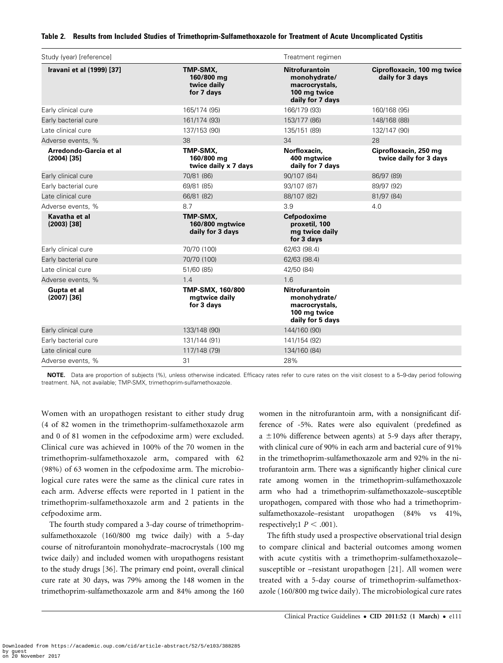Table 2. Results from Included Studies of Trimethoprim-Sulfamethoxazole for Treatment of Acute Uncomplicated Cystitis

| Study (year) [reference]                |                                                     | Treatment regimen                                                                           |                                                 |  |  |  |
|-----------------------------------------|-----------------------------------------------------|---------------------------------------------------------------------------------------------|-------------------------------------------------|--|--|--|
| Iravani et al (1999) [37]               | TMP-SMX,<br>160/800 mg<br>twice daily<br>for 7 days | <b>Nitrofurantoin</b><br>monohydrate/<br>macrocrystals,<br>100 mg twice<br>daily for 7 days | Ciprofloxacin, 100 mg twice<br>daily for 3 days |  |  |  |
| Early clinical cure                     | 165/174 (95)                                        | 166/179 (93)                                                                                | 160/168 (95)                                    |  |  |  |
| Early bacterial cure                    | 161/174 (93)                                        | 153/177 (86)                                                                                | 148/168 (88)                                    |  |  |  |
| Late clinical cure                      | 137/153 (90)                                        | 135/151 (89)                                                                                | 132/147 (90)                                    |  |  |  |
| Adverse events, %                       | 38                                                  | 34                                                                                          | 28                                              |  |  |  |
| Arredondo-Garcia et al<br>$(2004)$ [35] | TMP-SMX,<br>160/800 mg<br>twice daily x 7 days      | Norfloxacin,<br>400 mgtwice<br>daily for 7 days                                             | Ciprofloxacin, 250 mg<br>twice daily for 3 days |  |  |  |
| Early clinical cure                     | 70/81 (86)                                          | 90/107 (84)                                                                                 | 86/97 (89)                                      |  |  |  |
| Early bacterial cure                    | 69/81 (85)                                          | 93/107 (87)                                                                                 | 89/97 (92)                                      |  |  |  |
| Late clinical cure                      | 66/81 (82)                                          | 88/107 (82)                                                                                 | 81/97 (84)                                      |  |  |  |
| Adverse events, %                       | 8.7                                                 | 3.9                                                                                         | 4.0                                             |  |  |  |
| Kavatha et al<br>$(2003)$ [38]          | TMP-SMX.<br>160/800 mgtwice<br>daily for 3 days     | Cefpodoxime<br>proxetil, 100<br>mg twice daily<br>for 3 days                                |                                                 |  |  |  |
| Early clinical cure                     | 70/70 (100)                                         | 62/63 (98.4)                                                                                |                                                 |  |  |  |
| Early bacterial cure                    | 70/70 (100)                                         | 62/63 (98.4)                                                                                |                                                 |  |  |  |
| Late clinical cure                      | 51/60 (85)                                          | 42/50 (84)                                                                                  |                                                 |  |  |  |
| Adverse events, %                       | 1.4                                                 | 1.6                                                                                         |                                                 |  |  |  |
| Gupta et al<br>$(2007)$ [36]            | TMP-SMX, 160/800<br>mgtwice daily<br>for 3 days     | <b>Nitrofurantoin</b><br>monohydrate/<br>macrocrystals,<br>100 mg twice<br>daily for 5 days |                                                 |  |  |  |
| Early clinical cure                     | 133/148 (90)                                        | 144/160 (90)                                                                                |                                                 |  |  |  |
| Early bacterial cure                    | 131/144 (91)                                        | 141/154 (92)                                                                                |                                                 |  |  |  |
| Late clinical cure                      | 117/148 (79)                                        | 134/160 (84)                                                                                |                                                 |  |  |  |
| Adverse events, %                       | 31                                                  | 28%                                                                                         |                                                 |  |  |  |

NOTE. Data are proportion of subjects (%), unless otherwise indicated. Efficacy rates refer to cure rates on the visit closest to a 5-9-day period following treatment. NA, not available; TMP-SMX, trimethoprim-sulfamethoxazole.

Women with an uropathogen resistant to either study drug (4 of 82 women in the trimethoprim-sulfamethoxazole arm and 0 of 81 women in the cefpodoxime arm) were excluded. Clinical cure was achieved in 100% of the 70 women in the trimethoprim-sulfamethoxazole arm, compared with 62 (98%) of 63 women in the cefpodoxime arm. The microbiological cure rates were the same as the clinical cure rates in each arm. Adverse effects were reported in 1 patient in the trimethoprim-sulfamethoxazole arm and 2 patients in the cefpodoxime arm.

The fourth study compared a 3-day course of trimethoprimsulfamethoxazole (160/800 mg twice daily) with a 5-day course of nitrofurantoin monohydrate–macrocrystals (100 mg twice daily) and included women with uropathogens resistant to the study drugs [36]. The primary end point, overall clinical cure rate at 30 days, was 79% among the 148 women in the trimethoprim-sulfamethoxazole arm and 84% among the 160

women in the nitrofurantoin arm, with a nonsignificant difference of -5%. Rates were also equivalent (predefined as a  $\pm 10\%$  difference between agents) at 5-9 days after therapy, with clinical cure of 90% in each arm and bacterial cure of 91% in the trimethoprim-sulfamethoxazole arm and 92% in the nitrofurantoin arm. There was a significantly higher clinical cure rate among women in the trimethoprim-sulfamethoxazole arm who had a trimethoprim-sulfamethoxazole–susceptible uropathogen, compared with those who had a trimethoprimsulfamethoxazole–resistant uropathogen (84% vs 41%, respectively;1  $P < .001$ ).

The fifth study used a prospective observational trial design to compare clinical and bacterial outcomes among women with acute cystitis with a trimethoprim-sulfamethoxazole– susceptible or –resistant uropathogen [21]. All women were treated with a 5-day course of trimethoprim-sulfamethoxazole (160/800 mg twice daily). The microbiological cure rates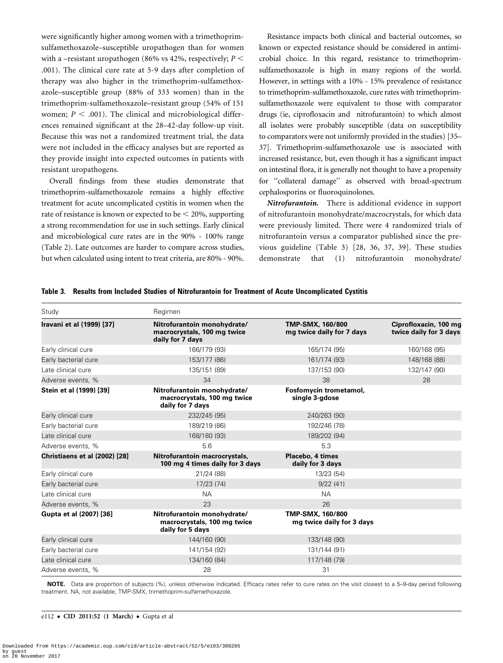were significantly higher among women with a trimethoprimsulfamethoxazole–susceptible uropathogen than for women with a –resistant uropathogen (86% vs 42%, respectively;  $P \leq$ .001). The clinical cure rate at 5-9 days after completion of therapy was also higher in the trimethoprim-sulfamethoxazole–susceptible group (88% of 333 women) than in the trimethoprim-sulfamethoxazole–resistant group (54% of 151 women;  $P < .001$ ). The clinical and microbiological differences remained significant at the 28–42-day follow-up visit. Because this was not a randomized treatment trial, the data were not included in the efficacy analyses but are reported as they provide insight into expected outcomes in patients with resistant uropathogens.

Overall findings from these studies demonstrate that trimethoprim-sulfamethoxazole remains a highly effective treatment for acute uncomplicated cystitis in women when the rate of resistance is known or expected to be  $\leq 20\%$ , supporting a strong recommendation for use in such settings. Early clinical and microbiological cure rates are in the 90% - 100% range (Table 2). Late outcomes are harder to compare across studies, but when calculated using intent to treat criteria, are 80% - 90%.

Resistance impacts both clinical and bacterial outcomes, so known or expected resistance should be considered in antimicrobial choice. In this regard, resistance to trimethoprimsulfamethoxazole is high in many regions of the world. However, in settings with a 10% - 15% prevalence of resistance to trimethoprim-sulfamethoxazole, cure rates with trimethoprimsulfamethoxazole were equivalent to those with comparator drugs (ie, ciprofloxacin and nitrofurantoin) to which almost all isolates were probably susceptible (data on susceptibility to comparators were not uniformly provided in the studies) [35– 37]. Trimethoprim-sulfamethoxazole use is associated with increased resistance, but, even though it has a significant impact on intestinal flora, it is generally not thought to have a propensity for ''collateral damage'' as observed with broad-spectrum cephalosporins or fluoroquinolones.

Nitrofurantoin. There is additional evidence in support of nitrofurantoin monohydrate/macrocrystals, for which data were previously limited. There were 4 randomized trials of nitrofurantoin versus a comparator published since the previous guideline (Table 3) [28, 36, 37, 39]. These studies demonstrate that (1) nitrofurantoin monohydrate/

| Table 3.    Results from Included Studies of Nitrofurantoin for Treatment of Acute Uncomplicated Cystitis |
|-----------------------------------------------------------------------------------------------------------|
|-----------------------------------------------------------------------------------------------------------|

| Study                         | Regimen                                                                        |                                                      |                                                 |
|-------------------------------|--------------------------------------------------------------------------------|------------------------------------------------------|-------------------------------------------------|
| Iravani et al (1999) [37]     | Nitrofurantoin monohydrate/<br>macrocrystals, 100 mg twice<br>daily for 7 days | <b>TMP-SMX, 160/800</b><br>mg twice daily for 7 days | Ciprofloxacin, 100 mg<br>twice daily for 3 days |
| Early clinical cure           | 166/179 (93)                                                                   | 165/174 (95)                                         | 160/168 (95)                                    |
| Early bacterial cure          | 153/177 (86)                                                                   | 161/174 (93)                                         | 148/168 (88)                                    |
| Late clinical cure            | 135/151 (89)                                                                   | 137/153 (90)                                         | 132/147 (90)                                    |
| Adverse events, %             | 34                                                                             | 38                                                   | 28                                              |
| Stein et al (1999) [39]       | Nitrofurantoin monohydrate/<br>macrocrystals, 100 mg twice<br>daily for 7 days | Fosfomycin trometamol,<br>single 3-gdose             |                                                 |
| Early clinical cure           | 232/245 (95)                                                                   | 240/263 (90)                                         |                                                 |
| Early bacterial cure          | 189/219 (86)                                                                   | 192/246 (78)                                         |                                                 |
| Late clinical cure            | 168/180 (93)                                                                   | 189/202 (94)                                         |                                                 |
| Adverse events, %             | 5.6                                                                            | 5.3                                                  |                                                 |
| Christiaens et al (2002) [28] | Nitrofurantoin macrocrystals,<br>100 mg 4 times daily for 3 days               | Placebo, 4 times<br>daily for 3 days                 |                                                 |
| Early clinical cure           | 21/24 (88)                                                                     | 13/23 (54)                                           |                                                 |
| Early bacterial cure          | 17/23 (74)                                                                     | 9/22(41)                                             |                                                 |
| Late clinical cure            | <b>NA</b>                                                                      | <b>NA</b>                                            |                                                 |
| Adverse events, %             | 23                                                                             | 26                                                   |                                                 |
| Gupta et al (2007) [36]       | Nitrofurantoin monohydrate/<br>macrocrystals, 100 mg twice<br>daily for 5 days | TMP-SMX, 160/800<br>mg twice daily for 3 days        |                                                 |
| Early clinical cure           | 144/160 (90)                                                                   | 133/148 (90)                                         |                                                 |
| Early bacterial cure          | 141/154 (92)                                                                   | 131/144 (91)                                         |                                                 |
| Late clinical cure            | 134/160 (84)                                                                   | 117/148 (79)                                         |                                                 |
| Adverse events, %             | 28                                                                             | 31                                                   |                                                 |

NOTE. Data are proportion of subjects (%), unless otherwise indicated. Efficacy rates refer to cure rates on the visit closest to a 5–9-day period following treatment. NA, not available; TMP-SMX, trimethoprim-sulfamethoxazole.

e112 · CID 2011:52 (1 March) · Gupta et al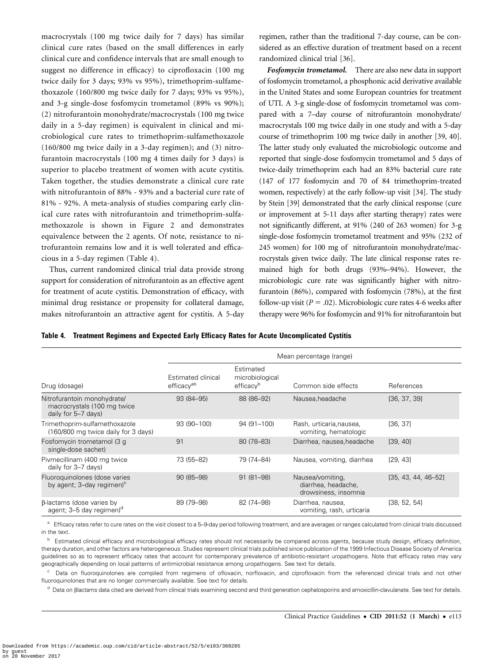macrocrystals (100 mg twice daily for 7 days) has similar clinical cure rates (based on the small differences in early clinical cure and confidence intervals that are small enough to suggest no difference in efficacy) to ciprofloxacin (100 mg twice daily for 3 days; 93% vs 95%), trimethoprim-sulfamethoxazole (160/800 mg twice daily for 7 days; 93% vs 95%), and 3-g single-dose fosfomycin trometamol (89% vs 90%); (2) nitrofurantoin monohydrate/macrocrystals (100 mg twice daily in a 5-day regimen) is equivalent in clinical and microbiological cure rates to trimethoprim-sulfamethoxazole (160/800 mg twice daily in a 3-day regimen); and (3) nitrofurantoin macrocrystals (100 mg 4 times daily for 3 days) is superior to placebo treatment of women with acute cystitis. Taken together, the studies demonstrate a clinical cure rate with nitrofurantoin of 88% - 93% and a bacterial cure rate of 81% - 92%. A meta-analysis of studies comparing early clinical cure rates with nitrofurantoin and trimethoprim-sulfamethoxazole is shown in Figure 2 and demonstrates equivalence between the 2 agents. Of note, resistance to nitrofurantoin remains low and it is well tolerated and efficacious in a 5-day regimen (Table 4).

Thus, current randomized clinical trial data provide strong support for consideration of nitrofurantoin as an effective agent for treatment of acute cystitis. Demonstration of efficacy, with minimal drug resistance or propensity for collateral damage, makes nitrofurantoin an attractive agent for cystitis. A 5-day

regimen, rather than the traditional 7-day course, can be considered as an effective duration of treatment based on a recent randomized clinical trial [36].

Fosfomycin trometamol. There are also new data in support of fosfomycin trometamol, a phosphonic acid derivative available in the United States and some European countries for treatment of UTI. A 3-g single-dose of fosfomycin trometamol was compared with a 7–day course of nitrofurantoin monohydrate/ macrocrystals 100 mg twice daily in one study and with a 5-day course of trimethoprim 100 mg twice daily in another [39, 40]. The latter study only evaluated the microbiologic outcome and reported that single-dose fosfomycin trometamol and 5 days of twice-daily trimethoprim each had an 83% bacterial cure rate (147 of 177 fosfomycin and 70 of 84 trimethoprim-treated women, respectively) at the early follow-up visit [34]. The study by Stein [39] demonstrated that the early clinical response (cure or improvement at 5-11 days after starting therapy) rates were not significantly different, at 91% (240 of 263 women) for 3-g single-dose fosfomycin trometamol treatment and 95% (232 of 245 women) for 100 mg of nitrofurantoin monohydrate/macrocrystals given twice daily. The late clinical response rates remained high for both drugs (93%–94%). However, the microbiologic cure rate was significantly higher with nitrofurantoin (86%), compared with fosfomycin (78%), at the first follow-up visit ( $P = .02$ ). Microbiologic cure rates 4-6 weeks after therapy were 96% for fosfomycin and 91% for nitrofurantoin but

|  | Table 4.    Treatment Regimens and Expected Early Efficacy Rates for Acute Uncomplicated Cystitis |  |  |  |  |
|--|---------------------------------------------------------------------------------------------------|--|--|--|--|
|--|---------------------------------------------------------------------------------------------------|--|--|--|--|

|                                                                                   | Mean percentage (range)                      |                                                       |                                                                 |                         |  |  |
|-----------------------------------------------------------------------------------|----------------------------------------------|-------------------------------------------------------|-----------------------------------------------------------------|-------------------------|--|--|
| Drug (dosage)                                                                     | Estimated clinical<br>efficacy <sup>ab</sup> | Estimated<br>microbiological<br>efficacv <sup>b</sup> | Common side effects                                             | References              |  |  |
| Nitrofurantoin monohydrate/<br>macrocrystals (100 mg twice<br>daily for 5-7 days) | 93 (84-95)                                   | 88 (86-92)                                            | Nausea, headache                                                | [36, 37, 39]            |  |  |
| Trimethoprim-sulfamethoxazole<br>(160/800 mg twice daily for 3 days)              | 93 (90-100)                                  | 94 (91-100)                                           | Rash, urticaria, nausea,<br>vomiting, hematologic               | [36, 37]                |  |  |
| Fosfomycin trometamol (3 g<br>single-dose sachet)                                 | 91                                           | 80 (78-83)                                            | Diarrhea, nausea, headache                                      | [39, 40]                |  |  |
| Pivmecillinam (400 mg twice<br>daily for 3-7 days)                                | 73 (55-82)                                   | 79 (74-84)                                            | Nausea, vomiting, diarrhea                                      | [29, 43]                |  |  |
| Fluoroquinolones (dose varies<br>by agent; 3-day regimen) <sup>c</sup>            | 90 (85-98)                                   | $91(81-98)$                                           | Nausea/vomiting,<br>diarrhea, headache,<br>drowsiness, insomnia | $[35, 43, 44, 46 - 52]$ |  |  |
| $\beta$ -lactams (dose varies by<br>agent; 3-5 day regimen) <sup>d</sup>          | 89 (79-98)                                   | 82 (74-98)                                            | Diarrhea, nausea,<br>vomiting, rash, urticaria                  | [38, 52, 54]            |  |  |

a Efficacy rates refer to cure rates on the visit closest to a 5-9-day period following treatment, and are averages or ranges calculated from clinical trials discussed in the text.

<sup>b</sup> Estimated clinical efficacy and microbiological efficacy rates should not necessarily be compared across agents, because study design, efficacy definition, therapy duration, and other factors are heterogeneous. Studies represent clinical trials published since publication of the 1999 Infectious Disease Society of America guidelines so as to represent efficacy rates that account for contemporary prevalence of antibiotic-resistant uropathogens. Note that efficacy rates may vary geographically depending on local patterns of antimicrobial resistance among uropathogens. See text for details.

<sup>c</sup> Data on fluoroquinolones are compiled from regimens of ofloxacin, norfloxacin, and ciprofloxacin from the referenced clinical trials and not other fluoroquinolones that are no longer commercially available. See text for details.

Data on Blactams data cited are derived from clinical trials examining second and third generation cephalosporins and amoxicillin-clavulanate. See text for details.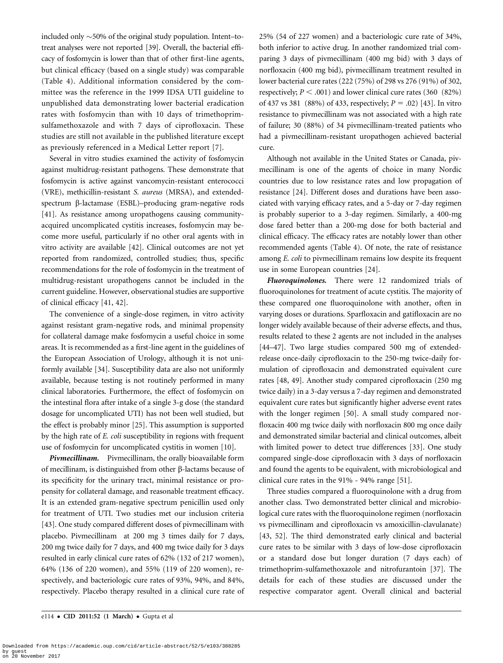included only  $\sim$  50% of the original study population. Intent–totreat analyses were not reported [39]. Overall, the bacterial efficacy of fosfomycin is lower than that of other first-line agents, but clinical efficacy (based on a single study) was comparable (Table 4). Additional information considered by the committee was the reference in the 1999 IDSA UTI guideline to unpublished data demonstrating lower bacterial eradication rates with fosfomycin than with 10 days of trimethoprimsulfamethoxazole and with 7 days of ciprofloxacin. These studies are still not available in the published literature except as previously referenced in a Medical Letter report [7].

Several in vitro studies examined the activity of fosfomycin against multidrug-resistant pathogens. These demonstrate that fosfomycin is active against vancomycin-resistant enterococci (VRE), methicillin-resistant S. aureus (MRSA), and extendedspectrum  $\beta$ -lactamase (ESBL)–producing gram-negative rods [41]. As resistance among uropathogens causing communityacquired uncomplicated cystitis increases, fosfomycin may become more useful, particularly if no other oral agents with in vitro activity are available [42]. Clinical outcomes are not yet reported from randomized, controlled studies; thus, specific recommendations for the role of fosfomycin in the treatment of multidrug-resistant uropathogens cannot be included in the current guideline. However, observational studies are supportive of clinical efficacy [41, 42].

The convenience of a single-dose regimen, in vitro activity against resistant gram-negative rods, and minimal propensity for collateral damage make fosfomycin a useful choice in some areas. It is recommended as a first-line agent in the guidelines of the European Association of Urology, although it is not uniformly available [34]. Susceptibility data are also not uniformly available, because testing is not routinely performed in many clinical laboratories. Furthermore, the effect of fosfomycin on the intestinal flora after intake of a single 3-g dose (the standard dosage for uncomplicated UTI) has not been well studied, but the effect is probably minor [25]. This assumption is supported by the high rate of E. coli susceptibility in regions with frequent use of fosfomycin for uncomplicated cystitis in women [10].

Pivmecillinam. Pivmecillinam, the orally bioavailable form of mecillinam, is distinguished from other  $\beta$ -lactams because of its specificity for the urinary tract, minimal resistance or propensity for collateral damage, and reasonable treatment efficacy. It is an extended gram-negative spectrum penicillin used only for treatment of UTI. Two studies met our inclusion criteria [43]. One study compared different doses of pivmecillinam with placebo. Pivmecillinam at 200 mg 3 times daily for 7 days, 200 mg twice daily for 7 days, and 400 mg twice daily for 3 days resulted in early clinical cure rates of 62% (132 of 217 women), 64% (136 of 220 women), and 55% (119 of 220 women), respectively, and bacteriologic cure rates of 93%, 94%, and 84%, respectively. Placebo therapy resulted in a clinical cure rate of 25% (54 of 227 women) and a bacteriologic cure rate of 34%, both inferior to active drug. In another randomized trial comparing 3 days of pivmecillinam (400 mg bid) with 3 days of norfloxacin (400 mg bid), pivmecillinam treatment resulted in lower bacterial cure rates (222 (75%) of 298 vs 276 (91%) of 302, respectively;  $P < .001$ ) and lower clinical cure rates (360 (82%) of 437 vs 381 (88%) of 433, respectively;  $P = .02$ ) [43]. In vitro resistance to pivmecillinam was not associated with a high rate of failure; 30 (88%) of 34 pivmecillinam-treated patients who had a pivmecillinam-resistant uropathogen achieved bacterial cure.

Although not available in the United States or Canada, pivmecillinam is one of the agents of choice in many Nordic countries due to low resistance rates and low propagation of resistance [24]. Different doses and durations have been associated with varying efficacy rates, and a 5-day or 7-day regimen is probably superior to a 3-day regimen. Similarly, a 400-mg dose fared better than a 200-mg dose for both bacterial and clinical efficacy. The efficacy rates are notably lower than other recommended agents (Table 4). Of note, the rate of resistance among E. coli to pivmecillinam remains low despite its frequent use in some European countries [24].

Fluoroquinolones. There were 12 randomized trials of fluoroquinolones for treatment of acute cystitis. The majority of these compared one fluoroquinolone with another, often in varying doses or durations. Sparfloxacin and gatifloxacin are no longer widely available because of their adverse effects, and thus, results related to these 2 agents are not included in the analyses [44–47]. Two large studies compared 500 mg of extendedrelease once-daily ciprofloxacin to the 250-mg twice-daily formulation of ciprofloxacin and demonstrated equivalent cure rates [48, 49]. Another study compared ciprofloxacin (250 mg twice daily) in a 3-day versus a 7-day regimen and demonstrated equivalent cure rates but significantly higher adverse event rates with the longer regimen [50]. A small study compared norfloxacin 400 mg twice daily with norfloxacin 800 mg once daily and demonstrated similar bacterial and clinical outcomes, albeit with limited power to detect true differences [33]. One study compared single-dose ciprofloxacin with 3 days of norfloxacin and found the agents to be equivalent, with microbiological and clinical cure rates in the 91% - 94% range [51].

Three studies compared a fluoroquinolone with a drug from another class. Two demonstrated better clinical and microbiological cure rates with the fluoroquinolone regimen (norfloxacin vs pivmecillinam and ciprofloxacin vs amoxicillin-clavulanate) [43, 52]. The third demonstrated early clinical and bacterial cure rates to be similar with 3 days of low-dose ciprofloxacin or a standard dose but longer duration (7 days each) of trimethoprim-sulfamethoxazole and nitrofurantoin [37]. The details for each of these studies are discussed under the respective comparator agent. Overall clinical and bacterial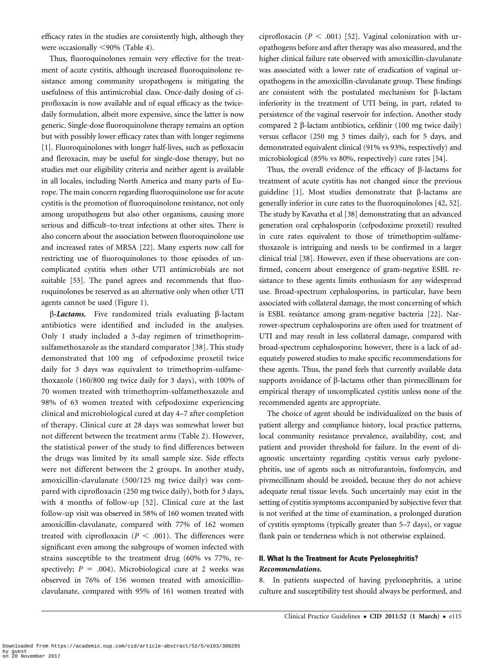efficacy rates in the studies are consistently high, although they were occasionally <90% (Table 4).

Thus, fluoroquinolones remain very effective for the treatment of acute cystitis, although increased fluoroquinolone resistance among community uropathogens is mitigating the usefulness of this antimicrobial class. Once-daily dosing of ciprofloxacin is now available and of equal efficacy as the twicedaily formulation, albeit more expensive, since the latter is now generic. Single-dose fluoroquinolone therapy remains an option but with possibly lower efficacy rates than with longer regimens [1]. Fluoroquinolones with longer half-lives, such as pefloxacin and fleroxacin, may be useful for single-dose therapy, but no studies met our eligibility criteria and neither agent is available in all locales, including North America and many parts of Europe. The main concern regarding fluoroquinolone use for acute cystitis is the promotion of fluoroquinolone resistance, not only among uropathogens but also other organisms, causing more serious and difficult–to-treat infections at other sites. There is also concern about the association between fluoroquinolone use and increased rates of MRSA [22]. Many experts now call for restricting use of fluoroquinolones to those episodes of uncomplicated cystitis when other UTI antimicrobials are not suitable [53]. The panel agrees and recommends that fluoroquinolones be reserved as an alternative only when other UTI agents cannot be used (Figure 1).

 $\beta$ -Lactams. Five randomized trials evaluating  $\beta$ -lactam antibiotics were identified and included in the analyses. Only 1 study included a 3-day regimen of trimethoprimsulfamethoxazole as the standard comparator [38]. This study demonstrated that 100 mg of cefpodoxime proxetil twice daily for 3 days was equivalent to trimethoprim-sulfamethoxazole (160/800 mg twice daily for 3 days), with 100% of 70 women treated with trimethoprim-sulfamethoxazole and 98% of 63 women treated with cefpodoxime experiencing clinical and microbiological cured at day 4–7 after completion of therapy. Clinical cure at 28 days was somewhat lower but not different between the treatment arms (Table 2). However, the statistical power of the study to find differences between the drugs was limited by its small sample size. Side effects were not different between the 2 groups. In another study, amoxicillin-clavulanate (500/125 mg twice daily) was compared with ciprofloxacin (250 mg twice daily), both for 3 days, with 4 months of follow-up [52]. Clinical cure at the last follow-up visit was observed in 58% of 160 women treated with amoxicillin-clavulanate, compared with 77% of 162 women treated with ciprofloxacin ( $P < .001$ ). The differences were significant even among the subgroups of women infected with strains susceptible to the treatment drug (60% vs 77%, respectively;  $P = .004$ ). Microbiological cure at 2 weeks was observed in 76% of 156 women treated with amoxicillinclavulanate, compared with 95% of 161 women treated with

ciprofloxacin ( $P < .001$ ) [52]. Vaginal colonization with uropathogens before and after therapy was also measured, and the higher clinical failure rate observed with amoxicillin-clavulanate was associated with a lower rate of eradication of vaginal uropathogens in the amoxicillin-clavulanate group. These findings are consistent with the postulated mechanism for  $\beta$ -lactam inferiority in the treatment of UTI being, in part, related to persistence of the vaginal reservoir for infection. Another study compared 2  $\beta$ -lactam antibiotics, cefdinir (100 mg twice daily) versus ceflacor (250 mg 3 times daily), each for 5 days, and demonstrated equivalent clinical (91% vs 93%, respectively) and microbiological (85% vs 80%, respectively) cure rates [54].

Thus, the overall evidence of the efficacy of  $\beta$ -lactams for treatment of acute cystitis has not changed since the previous guideline  $[1]$ . Most studies demonstrate that  $\beta$ -lactams are generally inferior in cure rates to the fluoroquinolones [42, 52]. The study by Kavatha et al [38] demonstrating that an advanced generation oral cephalosporin (cefpodoxime proxetil) resulted in cure rates equivalent to those of trimethoprim-sulfamethoxazole is intriguing and needs to be confirmed in a larger clinical trial [38]. However, even if these observations are confirmed, concern about emergence of gram-negative ESBL resistance to these agents limits enthusiasm for any widespread use. Broad-spectrum cephalosporins, in particular, have been associated with collateral damage, the most concerning of which is ESBL resistance among gram-negative bacteria [22]. Narrower-spectrum cephalosporins are often used for treatment of UTI and may result in less collateral damage, compared with broad-spectrum cephalosporins; however, there is a lack of adequately powered studies to make specific recommendations for these agents. Thus, the panel feels that currently available data supports avoidance of  $\beta$ -lactams other than pivmecillinam for empirical therapy of uncomplicated cystitis unless none of the recommended agents are appropriate.

The choice of agent should be individualized on the basis of patient allergy and compliance history, local practice patterns, local community resistance prevalence, availability, cost, and patient and provider threshold for failure. In the event of diagnostic uncertainty regarding cystitis versus early pyelonephritis, use of agents such as nitrofurantoin, fosfomycin, and pivmecillinam should be avoided, because they do not achieve adequate renal tissue levels. Such uncertainly may exist in the setting of cystitis symptoms accompanied by subjective fever that is not verified at the time of examination, a prolonged duration of cystitis symptoms (typically greater than 5–7 days), or vague flank pain or tenderness which is not otherwise explained.

## II. What Is the Treatment for Acute Pyelonephritis? Recommendations.

8. In patients suspected of having pyelonephritis, a urine culture and susceptibility test should always be performed, and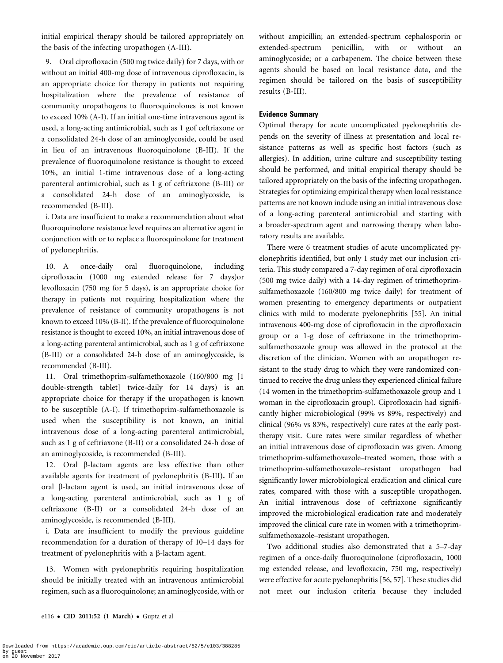initial empirical therapy should be tailored appropriately on the basis of the infecting uropathogen (A-III).

9. Oral ciprofloxacin (500 mg twice daily) for 7 days, with or without an initial 400-mg dose of intravenous ciprofloxacin, is an appropriate choice for therapy in patients not requiring hospitalization where the prevalence of resistance of community uropathogens to fluoroquinolones is not known to exceed 10% (A-I). If an initial one-time intravenous agent is used, a long-acting antimicrobial, such as 1 gof ceftriaxone or a consolidated 24-h dose of an aminoglycoside, could be used in lieu of an intravenous fluoroquinolone (B-III). If the prevalence of fluoroquinolone resistance is thought to exceed 10%, an initial 1-time intravenous dose of a long-acting parenteral antimicrobial, such as 1 g of ceftriaxone (B-III) or a consolidated 24-h dose of an aminoglycoside, is recommended (B-III).

i. Data are insufficient to make a recommendation about what fluoroquinolone resistance level requires an alternative agent in conjunction with or to replace a fluoroquinolone for treatment of pyelonephritis.

10. A once-daily oral fluoroquinolone, including ciprofloxacin (1000 mg extended release for 7 days)or levofloxacin (750 mg for 5 days), is an appropriate choice for therapy in patients not requiring hospitalization where the prevalence of resistance of community uropathogens is not known to exceed 10% (B-II). If the prevalence of fluoroquinolone resistance is thought to exceed 10%, an initial intravenous dose of a long-acting parenteral antimicrobial, such as 1 g of ceftriaxone (B-III) or a consolidated 24-h dose of an aminoglycoside, is recommended (B-III).

11. Oral trimethoprim-sulfamethoxazole (160/800 mg [1 double-strength tablet] twice-daily for 14 days) is an appropriate choice for therapy if the uropathogen is known to be susceptible (A-I). If trimethoprim-sulfamethoxazole is used when the susceptibility is not known, an initial intravenous dose of a long-acting parenteral antimicrobial, such as 1 g of ceftriaxone (B-II) or a consolidated 24-h dose of an aminoglycoside, is recommended (B-III).

12. Oral  $\beta$ -lactam agents are less effective than other available agents for treatment of pyelonephritis (B-III). If an oral  $\beta$ -lactam agent is used, an initial intravenous dose of a long-acting parenteral antimicrobial, such as 1 g of ceftriaxone (B-II) or a consolidated 24-h dose of an aminoglycoside, is recommended (B-III).

i. Data are insufficient to modify the previous guideline recommendation for a duration of therapy of 10–14 days for treatment of pyelonephritis with a  $\beta$ -lactam agent.

13. Women with pyelonephritis requiring hospitalization should be initially treated with an intravenous antimicrobial regimen, such as a fluoroquinolone; an aminoglycoside, with or without ampicillin; an extended-spectrum cephalosporin or extended-spectrum penicillin, with or without an aminoglycoside; or a carbapenem. The choice between these agents should be based on local resistance data, and the regimen should be tailored on the basis of susceptibility results (B-III).

## Evidence Summary

Optimal therapy for acute uncomplicated pyelonephritis depends on the severity of illness at presentation and local resistance patterns as well as specific host factors (such as allergies). In addition, urine culture and susceptibility testing should be performed, and initial empirical therapy should be tailored appropriately on the basis of the infecting uropathogen. Strategies for optimizing empirical therapy when local resistance patterns are not known include using an initial intravenous dose of a long-acting parenteral antimicrobial and starting with a broader-spectrum agent and narrowing therapy when laboratory results are available.

There were 6 treatment studies of acute uncomplicated pyelonephritis identified, but only 1 study met our inclusion criteria. This study compared a 7-day regimen of oral ciprofloxacin (500 mg twice daily) with a 14-day regimen of trimethoprimsulfamethoxazole (160/800 mg twice daily) for treatment of women presenting to emergency departments or outpatient clinics with mild to moderate pyelonephritis [55]. An initial intravenous 400-mg dose of ciprofloxacin in the ciprofloxacin group or a 1-g dose of ceftriaxone in the trimethoprimsulfamethoxazole group was allowed in the protocol at the discretion of the clinician. Women with an uropathogen resistant to the study drug to which they were randomized continued to receive the drug unless they experienced clinical failure (14 women in the trimethoprim-sulfamethoxazole group and 1 woman in the ciprofloxacin group). Ciprofloxacin had significantly higher microbiological (99% vs 89%, respectively) and clinical (96% vs 83%, respectively) cure rates at the early posttherapy visit. Cure rates were similar regardless of whether an initial intravenous dose of ciprofloxacin was given. Among trimethoprim-sulfamethoxazole–treated women, those with a trimethoprim-sulfamethoxazole–resistant uropathogen had significantly lower microbiological eradication and clinical cure rates, compared with those with a susceptible uropathogen. An initial intravenous dose of ceftriaxone significantly improved the microbiological eradication rate and moderately improved the clinical cure rate in women with a trimethoprimsulfamethoxazole–resistant uropathogen.

Two additional studies also demonstrated that a 5–7-day regimen of a once-daily fluoroquinolone (ciprofloxacin, 1000 mg extended release, and levofloxacin, 750 mg, respectively) were effective for acute pyelonephritis [56, 57]. These studies did not meet our inclusion criteria because they included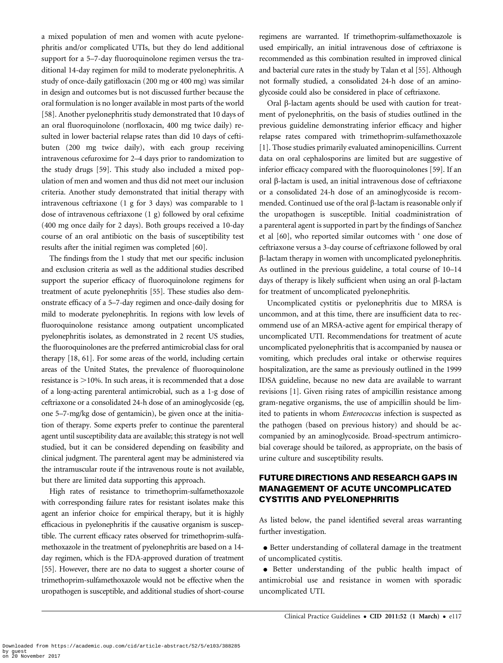a mixed population of men and women with acute pyelonephritis and/or complicated UTIs, but they do lend additional support for a 5–7-day fluoroquinolone regimen versus the traditional 14-day regimen for mild to moderate pyelonephritis. A study of once-daily gatifloxacin (200 mg or 400 mg) was similar in design and outcomes but is not discussed further because the oral formulation is no longer available in most parts of the world [58]. Another pyelonephritis study demonstrated that 10 days of an oral fluoroquinolone (norfloxacin, 400 mg twice daily) resulted in lower bacterial relapse rates than did 10 days of ceftibuten (200 mg twice daily), with each group receiving intravenous cefuroxime for 2–4 days prior to randomization to the study drugs [59]. This study also included a mixed population of men and women and thus did not meet our inclusion criteria. Another study demonstrated that initial therapy with intravenous ceftriaxone (1 g for 3 days) was comparable to 1 dose of intravenous ceftriaxone (1 g) followed by oral cefixime (400 mg once daily for 2 days). Both groups received a 10-day course of an oral antibiotic on the basis of susceptibility test results after the initial regimen was completed [60].

The findings from the 1 study that met our specific inclusion and exclusion criteria as well as the additional studies described support the superior efficacy of fluoroquinolone regimens for treatment of acute pyelonephritis [55]. These studies also demonstrate efficacy of a 5–7-day regimen and once-daily dosing for mild to moderate pyelonephritis. In regions with low levels of fluoroquinolone resistance among outpatient uncomplicated pyelonephritis isolates, as demonstrated in 2 recent US studies, the fluoroquinolones are the preferred antimicrobial class for oral therapy [18, 61]. For some areas of the world, including certain areas of the United States, the prevalence of fluoroquinolone resistance is  $>$ 10%. In such areas, it is recommended that a dose of a long-acting parenteral antimicrobial, such as a 1-g dose of ceftriaxone or a consolidated 24-h dose of an aminoglycoside (eg, one 5–7-mg/kg dose of gentamicin), be given once at the initiation of therapy. Some experts prefer to continue the parenteral agent until susceptibility data are available; this strategy is not well studied, but it can be considered depending on feasibility and clinical judgment. The parenteral agent may be administered via the intramuscular route if the intravenous route is not available, but there are limited data supporting this approach.

High rates of resistance to trimethoprim-sulfamethoxazole with corresponding failure rates for resistant isolates make this agent an inferior choice for empirical therapy, but it is highly efficacious in pyelonephritis if the causative organism is susceptible. The current efficacy rates observed for trimethoprim-sulfamethoxazole in the treatment of pyelonephritis are based on a 14 day regimen, which is the FDA-approved duration of treatment [55]. However, there are no data to suggest a shorter course of trimethoprim-sulfamethoxazole would not be effective when the uropathogen is susceptible, and additional studies of short-course regimens are warranted. If trimethoprim-sulfamethoxazole is used empirically, an initial intravenous dose of ceftriaxone is recommended as this combination resulted in improved clinical and bacterial cure rates in the study by Talan et al [55]. Although not formally studied, a consolidated 24-h dose of an aminoglycoside could also be considered in place of ceftriaxone.

Oral  $\beta$ -lactam agents should be used with caution for treatment of pyelonephritis, on the basis of studies outlined in the previous guideline demonstrating inferior efficacy and higher relapse rates compared with trimethoprim-sulfamethoxazole [1]. Those studies primarily evaluated aminopenicillins. Current data on oral cephalosporins are limited but are suggestive of inferior efficacy compared with the fluoroquinolones [59]. If an oral b-lactam is used, an initial intravenous dose of ceftriaxone or a consolidated 24-h dose of an aminoglycoside is recommended. Continued use of the oral  $\beta$ -lactam is reasonable only if the uropathogen is susceptible. Initial coadministration of a parenteral agent is supported in part by the findings of Sanchez et al [60], who reported similar outcomes with ' one dose of ceftriaxone versus a 3-day course of ceftriaxone followed by oral b-lactam therapy in women with uncomplicated pyelonephritis. As outlined in the previous guideline, a total course of 10–14 days of therapy is likely sufficient when using an oral  $\beta$ -lactam for treatment of uncomplicated pyelonephritis.

Uncomplicated cystitis or pyelonephritis due to MRSA is uncommon, and at this time, there are insufficient data to recommend use of an MRSA-active agent for empirical therapy of uncomplicated UTI. Recommendations for treatment of acute uncomplicated pyelonephritis that is accompanied by nausea or vomiting, which precludes oral intake or otherwise requires hospitalization, are the same as previously outlined in the 1999 IDSA guideline, because no new data are available to warrant revisions [1]. Given rising rates of ampicillin resistance among gram-negative organisms, the use of ampicillin should be limited to patients in whom Enterococcus infection is suspected as the pathogen (based on previous history) and should be accompanied by an aminoglycoside. Broad-spectrum antimicrobial coverage should be tailored, as appropriate, on the basis of urine culture and susceptibility results.

## FUTURE DIRECTIONS AND RESEARCH GAPS IN MANAGEMENT OF ACUTE UNCOMPLICATED CYSTITIS AND PYELONEPHRITIS

As listed below, the panel identified several areas warranting further investigation.

<sup>d</sup> Better understanding of collateral damage in the treatment of uncomplicated cystitis.

<sup>d</sup> Better understanding of the public health impact of antimicrobial use and resistance in women with sporadic uncomplicated UTI.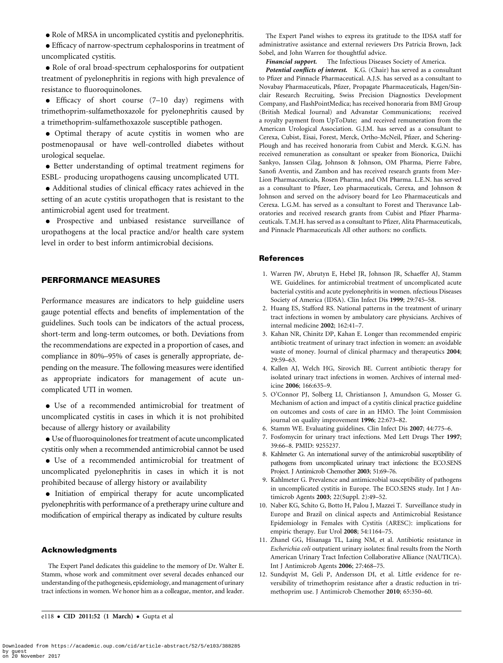<sup>d</sup> Role of MRSA in uncomplicated cystitis and pyelonephritis.

<sup>d</sup> Efficacy of narrow-spectrum cephalosporins in treatment of uncomplicated cystitis.

<sup>d</sup> Role of oral broad-spectrum cephalosporins for outpatient treatment of pyelonephritis in regions with high prevalence of resistance to fluoroquinolones.

<sup>d</sup> Efficacy of short course (7–10 day) regimens with trimethoprim-sulfamethoxazole for pyelonephritis caused by a trimethoprim-sulfamethoxazole susceptible pathogen.

<sup>d</sup> Optimal therapy of acute cystitis in women who are postmenopausal or have well-controlled diabetes without urological sequelae.

<sup>d</sup> Better understanding of optimal treatment regimens for ESBL- producing uropathogens causing uncomplicated UTI.

<sup>d</sup> Additional studies of clinical efficacy rates achieved in the setting of an acute cystitis uropathogen that is resistant to the antimicrobial agent used for treatment.

<sup>d</sup> Prospective and unbiased resistance surveillance of uropathogens at the local practice and/or health care system level in order to best inform antimicrobial decisions.

## PERFORMANCE MEASURES

Performance measures are indicators to help guideline users gauge potential effects and benefits of implementation of the guidelines. Such tools can be indicators of the actual process, short-term and long-term outcomes, or both. Deviations from the recommendations are expected in a proportion of cases, and compliance in 80%–95% of cases is generally appropriate, depending on the measure. The following measures were identified as appropriate indicators for management of acute uncomplicated UTI in women.

<sup>d</sup> Use of a recommended antimicrobial for treatment of uncomplicated cystitis in cases in which it is not prohibited because of allergy history or availability

<sup>d</sup> Use of fluoroquinolones for treatment of acute uncomplicated cystitis only when a recommended antimicrobial cannot be used

<sup>d</sup> Use of a recommended antimicrobial for treatment of uncomplicated pyelonephritis in cases in which it is not prohibited because of allergy history or availability

<sup>d</sup> Initiation of empirical therapy for acute uncomplicated pyelonephritis with performance of a pretherapy urine culture and modification of empirical therapy as indicated by culture results

#### Acknowledgments

The Expert Panel dedicates this guideline to the memory of Dr. Walter E. Stamm, whose work and commitment over several decades enhanced our understanding of the pathogenesis, epidemiology, and management of urinary tract infections in women. We honor him as a colleague, mentor, and leader.

The Expert Panel wishes to express its gratitude to the IDSA staff for administrative assistance and external reviewers Drs Patricia Brown, Jack Sobel, and John Warren for thoughtful advice.

Financial support. The Infectious Diseases Society of America.

Potential conflicts of interest. K.G. (Chair) has served as a consultant to Pfizer and Pinnacle Pharmaceutical. A.J.S. has served as a consultant to Novabay Pharmaceuticals, Pfizer, Propagate Pharmaceuticals, Hagen/Sinclair Research Recruiting, Swiss Precision Diagnostics Development Company, and FlashPointMedica; has received honoraria from BMJ Group (British Medical Journal) and Advanstar Communications; received a royalty payment from UpToDate; and received remuneration from the American Urological Association. G.J.M. has served as a consultant to Cerexa, Cubist, Eisai, Forest, Merck, Ortho-McNeil, Pfizer, and Schering-Plough and has received honoraria from Cubist and Merck. K.G.N. has received remuneration as consultant or speaker from Bionorica, Daiichi Sankyo, Janssen Cilag, Johnson & Johnson, OM Pharma, Pierre Fabre, Sanofi Aventis, and Zambon and has received research grants from Mer-Lion Pharmaceuticals, Rosen Pharma, and OM Pharma. L.E.N. has served as a consultant to Pfizer, Leo pharmaceuticals, Cerexa, and Johnson & Johnson and served on the advisory board for Leo Pharmaceuticals and Cerexa. L.G.M. has served as a consultant to Forest and Theravance Laboratories and received research grants from Cubist and Pfizer Pharmaceuticals. T.M.H. has served as a consultant to Pfizer, Alita Pharmaceuticals, and Pinnacle Pharmaceuticals All other authors: no conflicts.

#### **References**

- 1. Warren JW, Abrutyn E, Hebel JR, Johnson JR, Schaeffer AJ, Stamm WE. Guidelines. for antimicrobial treatment of uncomplicated acute bacterial cystitis and acute pyelonephritis in women. nfectious Diseases Society of America (IDSA). Clin Infect Dis 1999; 29:745–58.
- 2. Huang ES, Stafford RS. National patterns in the treatment of urinary tract infections in women by ambulatory care physicians. Archives of internal medicine 2002; 162:41–7.
- 3. Kahan NR, Chinitz DP, Kahan E. Longer than recommended empiric antibiotic treatment of urinary tract infection in women: an avoidable waste of money. Journal of clinical pharmacy and therapeutics 2004; 29:59–63.
- 4. Kallen AJ, Welch HG, Sirovich BE. Current antibiotic therapy for isolated urinary tract infections in women. Archives of internal medicine 2006; 166:635–9.
- 5. O'Connor PJ, Solberg LI, Christianson J, Amundson G, Mosser G. Mechanism of action and impact of a cystitis clinical practice guideline on outcomes and costs of care in an HMO. The Joint Commission journal on quality improvement 1996; 22:673–82.
- 6. Stamm WE. Evaluating guidelines. Clin Infect Dis 2007; 44:775–6.
- 7. Fosfomycin for urinary tract infections. Med Lett Drugs Ther 1997; 39:66–8. PMID: 9255237.
- 8. Kahlmeter G. An international survey of the antimicrobial susceptibility of pathogens from uncomplicated urinary tract infections: the ECO.SENS Project. J Antimicrob Chemother 2003; 51:69–76.
- 9. Kahlmeter G. Prevalence and antimicrobial susceptibility of pathogens in uncomplicated cystitis in Europe. The ECO.SENS study. Int J Antimicrob Agents 2003; 22(Suppl. 2):49–52.
- 10. Naber KG, Schito G, Botto H, Palou J, Mazzei T. Surveillance study in Europe and Brazil on clinical aspects and Antimicrobial Resistance Epidemiology in Females with Cystitis (ARESC): implications for empiric therapy. Eur Urol 2008; 54:1164–75.
- 11. Zhanel GG, Hisanaga TL, Laing NM, et al. Antibiotic resistance in Escherichia coli outpatient urinary isolates: final results from the North American Urinary Tract Infection Collaborative Alliance (NAUTICA). Int J Antimicrob Agents 2006; 27:468–75.
- 12. Sundqvist M, Geli P, Andersson DI, et al. Little evidence for reversibility of trimethoprim resistance after a drastic reduction in trimethoprim use. J Antimicrob Chemother 2010; 65:350–60.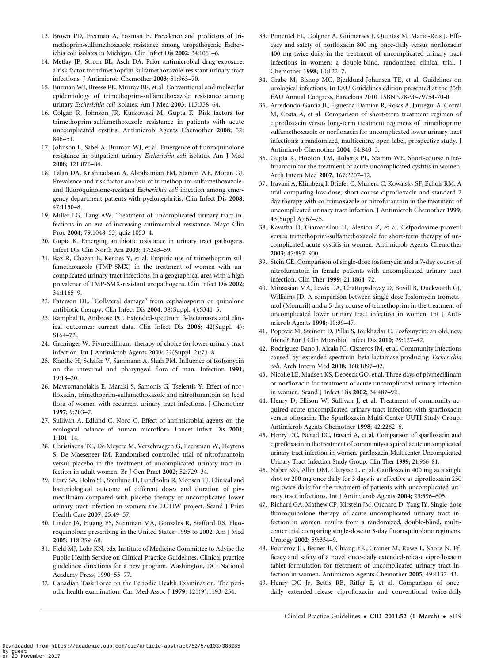- 13. Brown PD, Freeman A, Foxman B. Prevalence and predictors of trimethoprim-sulfamethoxazole resistance among uropathogenic Escherichia coli isolates in Michigan. Clin Infect Dis 2002; 34:1061–6.
- 14. Metlay JP, Strom BL, Asch DA. Prior antimicrobial drug exposure: a risk factor for trimethoprim-sulfamethoxazole-resistant urinary tract infections. J Antimicrob Chemother 2003; 51:963–70.
- 15. Burman WJ, Breese PE, Murray BE, et al. Conventional and molecular epidemiology of trimethoprim-sulfamethoxazole resistance among urinary Escherichia coli isolates. Am J Med 2003; 115:358–64.
- 16. Colgan R, Johnson JR, Kuskowski M, Gupta K. Risk factors for trimethoprim-sulfamethoxazole resistance in patients with acute uncomplicated cystitis. Antimicrob Agents Chemother 2008; 52: 846–51.
- 17. Johnson L, Sabel A, Burman WJ, et al. Emergence of fluoroquinolone resistance in outpatient urinary Escherichia coli isolates. Am J Med 2008; 121:876–84.
- 18. Talan DA, Krishnadasan A, Abrahamian FM, Stamm WE, Moran GJ. Prevalence and risk factor analysis of trimethoprim-sulfamethoxazoleand fluoroquinolone-resistant Escherichia coli infection among emergency department patients with pyelonephritis. Clin Infect Dis 2008; 47:1150–8.
- 19. Miller LG, Tang AW. Treatment of uncomplicated urinary tract infections in an era of increasing antimicrobial resistance. Mayo Clin Proc 2004; 79:1048–53; quiz 1053–4.
- 20. Gupta K. Emerging antibiotic resistance in urinary tract pathogens. Infect Dis Clin North Am 2003; 17:243–59.
- 21. Raz R, Chazan B, Kennes Y, et al. Empiric use of trimethoprim-sulfamethoxazole (TMP-SMX) in the treatment of women with uncomplicated urinary tract infections, in a geographical area with a high prevalence of TMP-SMX-resistant uropathogens. Clin Infect Dis 2002; 34:1165–9.
- 22. Paterson DL. "Collateral damage" from cephalosporin or quinolone antibiotic therapy. Clin Infect Dis 2004; 38(Suppl. 4):S341–5.
- 23. Ramphal R, Ambrose PG. Extended-spectrum  $\beta$ -lactamases and clinical outcomes: current data. Clin Infect Dis 2006; 42(Suppl. 4): S164–72.
- 24. Graninger W. Pivmecillinam–therapy of choice for lower urinary tract infection. Int J Antimicrob Agents 2003; 22(Suppl. 2):73–8.
- 25. Knothe H, Schafer V, Sammann A, Shah PM. Influence of fosfomycin on the intestinal and pharyngeal flora of man. Infection 1991; 19:18–20.
- 26. Mavromanolakis E, Maraki S, Samonis G, Tselentis Y. Effect of norfloxacin, trimethoprim-sulfamethoxazole and nitroffurantoin on fecal flora of women with recurrent urinary tract infections. J Chemother 1997; 9:203–7.
- 27. Sullivan A, Edlund C, Nord C. Effect of antimicrobial agents on the ecological balance of human microflora. Lancet Infect Dis 2001; 1:101–14.
- 28. Christiaens TC, De Meyere M, Verschraegen G, Peersman W, Heytens S, De Maeseneer JM. Randomised controlled trial of nitrofurantoin versus placebo in the treatment of uncomplicated urinary tract infection in adult women. Br J Gen Pract 2002; 52:729–34.
- 29. Ferry SA, Holm SE, Stenlund H, Lundholm R, Monsen TJ. Clinical and bacteriological outcome of different doses and duration of pivmecillinam compared with placebo therapy of uncomplicated lower urinary tract infection in women: the LUTIW project. Scand J Prim Health Care 2007; 25:49–57.
- 30. Linder JA, Huang ES, Steinman MA, Gonzales R, Stafford RS. Fluoroquinolone prescribing in the United States: 1995 to 2002. Am J Med 2005; 118:259–68.
- 31. Field MJ, Lohr KN, eds. Institute of Medicine Committee to Advise the Public Health Service on Clinical Practice Guidelines. Clinical practice guidelines: directions for a new program. Washington, DC: National Academy Press, 1990; 55–77.
- 32. Canadian Task Force on the Periodic Health Examination. The periodic health examination. Can Med Assoc J 1979; 121(9);1193–254.
- 33. Pimentel FL, Dolgner A, Guimaraes J, Quintas M, Mario-Reis J. Efficacy and safety of norfloxacin 800 mg once-daily versus norfloxacin 400 mg twice-daily in the treatment of uncomplicated urinary tract infections in women: a double-blind, randomized clinical trial. J Chemother 1998; 10:122–7.
- 34. Grabe M, Bishop MC, Bjerklund-Johansen TE, et al. Guidelines on urological infections. In EAU Guidelines edition presented at the 25th EAU Annual Congress, Barcelona 2010. ISBN 978-90-79754-70-0.
- 35. Arredondo-Garcia JL, Figueroa-Damian R, Rosas A, Jauregui A, Corral M, Costa A, et al. Comparison of short-term treatment regimen of ciprofloxacin versus long-term treatment regimens of trimethoprim/ sulfamethoxazole or norfloxacin for uncomplicated lower urinary tract infections: a randomized, multicentre, open-label, prospective study. J Antimicrob Chemother 2004; 54:840–3.
- 36. Gupta K, Hooton TM, Roberts PL, Stamm WE. Short-course nitrofurantoin for the treatment of acute uncomplicated cystitis in women. Arch Intern Med 2007; 167:2207–12.
- 37. Iravani A, Klimberg I, Briefer C, Munera C, Kowalsky SF, Echols RM. A trial comparing low-dose, short-course ciprofloxacin and standard 7 day therapy with co-trimoxazole or nitrofurantoin in the treatment of uncomplicated urinary tract infection. J Antimicrob Chemother 1999; 43(Suppl A):67–75.
- 38. Kavatha D, Giamarellou H, Alexiou Z, et al. Cefpodoxime-proxetil versus trimethoprim-sulfamethoxazole for short-term therapy of uncomplicated acute cystitis in women. Antimicrob Agents Chemother 2003; 47:897–900.
- 39. Stein GE. Comparison of single-dose fosfomycin and a 7-day course of nitrofurantoin in female patients with uncomplicated urinary tract infection. Clin Ther 1999; 21:1864–72.
- 40. Minassian MA, Lewis DA, Chattopadhyay D, Bovill B, Duckworth GJ, Williams JD. A comparison between single-dose fosfomycin trometamol (Monuril) and a 5-day course of trimethoprim in the treatment of uncomplicated lower urinary tract infection in women. Int J Antimicrob Agents 1998; 10:39–47.
- 41. Popovic M, Steinort D, Pillai S, Joukhadar C. Fosfomycin: an old, new friend? Eur J Clin Microbiol Infect Dis 2010; 29:127–42.
- 42. Rodriguez-Bano J, Alcala JC, Cisneros JM, et al. Community infections caused by extended-spectrum beta-lactamase-producing Escherichia coli. Arch Intern Med 2008; 168:1897–02.
- 43. Nicolle LE, Madsen KS, Debeeck GO, et al. Three days of pivmecillinam or norfloxacin for treatment of acute uncomplicated urinary infection in women. Scand J Infect Dis 2002; 34:487–92.
- 44. Henry D, Ellison W, Sullivan J, et al. Treatment of community-acquired acute uncomplicated urinary tract infection with sparfloxacin versus ofloxacin. The Sparfloxacin Multi Center UUTI Study Group. Antimicrob Agents Chemother 1998; 42:2262–6.
- 45. Henry DC, Nenad RC, Iravani A, et al. Comparison of sparfloxacin and ciprofloxacin in the treatment of community-acquired acute uncomplicated urinary tract infection in women. parfloxacin Multicenter Uncomplicated Urinary Tract Infection Study Group. Clin Ther 1999; 21:966–81.
- 46. Naber KG, Allin DM, Clarysse L, et al. Gatifloxacin 400 mg as a single shot or 200 mg once daily for 3 days is as effective as ciprofloxacin 250 mg twice daily for the treatment of patients with uncomplicated urinary tract infections. Int J Antimicrob Agents 2004; 23:596–605.
- 47. Richard GA, Mathew CP, Kirstein JM, Orchard D, Yang JY. Single-dose fluoroquinolone therapy of acute uncomplicated urinary tract infection in women: results from a randomized, double-blind, multicenter trial comparing single-dose to 3-day fluoroquinolone regimens. Urology 2002; 59:334–9.
- 48. Fourcroy JL, Berner B, Chiang YK, Cramer M, Rowe L, Shore N. Efficacy and safety of a novel once-daily extended-release ciprofloxacin tablet formulation for treatment of uncomplicated urinary tract infection in women. Antimicrob Agents Chemother 2005; 49:4137–43.
- 49. Henry DC Jr, Bettis RB, Riffer E, et al. Comparison of oncedaily extended-release ciprofloxacin and conventional twice-daily